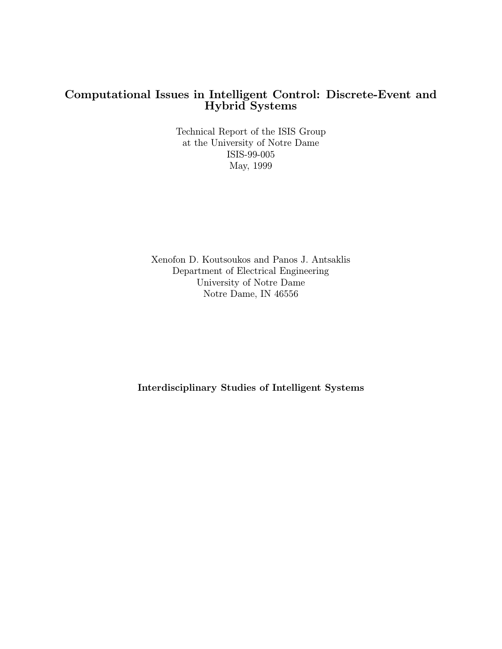# Computational Issues in Intelligent Control: Discrete-Event and Hybrid Systems

Technical Report of the ISIS Group at the University of Notre Dame ISIS-99-005 May, 1999

Xenofon D. Koutsoukos and Panos J. Antsaklis Department of Electrical Engineering University of Notre Dame Notre Dame, IN 46556

Interdisciplinary Studies of Intelligent Systems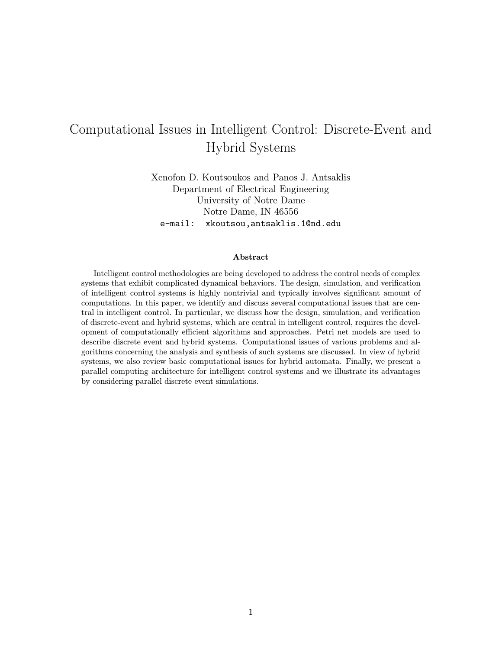# Computational Issues in Intelligent Control: Discrete-Event and Hybrid Systems

Xenofon D. Koutsoukos and Panos J. Antsaklis Department of Electrical Engineering University of Notre Dame Notre Dame, IN 46556 e-mail: xkoutsou,antsaklis.1@nd.edu

#### Abstract

Intelligent control methodologies are being developed to address the control needs of complex systems that exhibit complicated dynamical behaviors. The design, simulation, and verification of intelligent control systems is highly nontrivial and typically involves significant amount of computations. In this paper, we identify and discuss several computational issues that are central in intelligent control. In particular, we discuss how the design, simulation, and verification of discrete-event and hybrid systems, which are central in intelligent control, requires the development of computationally efficient algorithms and approaches. Petri net models are used to describe discrete event and hybrid systems. Computational issues of various problems and algorithms concerning the analysis and synthesis of such systems are discussed. In view of hybrid systems, we also review basic computational issues for hybrid automata. Finally, we present a parallel computing architecture for intelligent control systems and we illustrate its advantages by considering parallel discrete event simulations.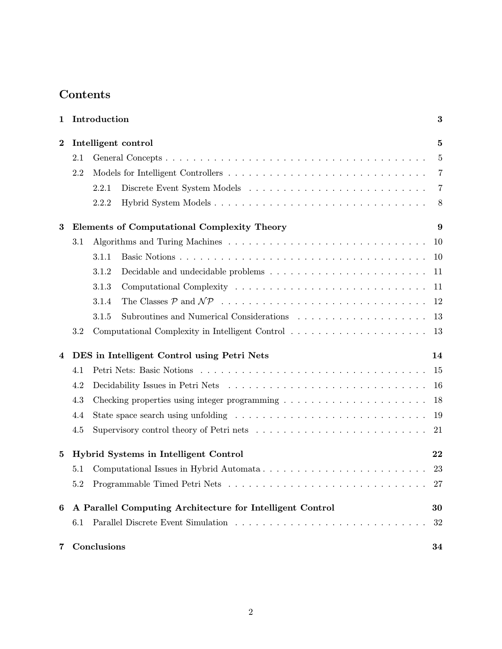# Contents

| 1        |         | Introduction                                              | 3              |  |
|----------|---------|-----------------------------------------------------------|----------------|--|
| $\bf{2}$ |         | Intelligent control<br>$\mathbf{5}$                       |                |  |
|          | 2.1     |                                                           | $\overline{5}$ |  |
|          | 2.2     |                                                           | 7              |  |
|          |         | 2.2.1                                                     | 7              |  |
|          |         | Hybrid System Models<br>2.2.2                             | 8              |  |
| 3        |         | <b>Elements of Computational Complexity Theory</b>        | 9              |  |
|          | $3.1\,$ |                                                           | 10             |  |
|          |         | 3.1.1                                                     | 10             |  |
|          |         | 3.1.2                                                     | 11             |  |
|          |         | 3.1.3                                                     | 11             |  |
|          |         | 3.1.4                                                     | 12             |  |
|          |         | 3.1.5<br>Subroutines and Numerical Considerations         | 13             |  |
|          | 3.2     |                                                           | 13             |  |
| 4        |         | DES in Intelligent Control using Petri Nets               | 14             |  |
|          | 4.1     |                                                           | 15             |  |
|          | 4.2     |                                                           | 16             |  |
|          | 4.3     |                                                           | 18             |  |
|          | 4.4     |                                                           | 19             |  |
|          | 4.5     |                                                           | 21             |  |
| 5        |         | <b>Hybrid Systems in Intelligent Control</b>              | 22             |  |
|          | 5.1     | Computational Issues in Hybrid Automata                   | 23             |  |
|          |         |                                                           | $27\,$         |  |
| 6        |         | A Parallel Computing Architecture for Intelligent Control | 30             |  |
|          | 6.1     |                                                           | 32             |  |
| 7        |         | Conclusions                                               | 34             |  |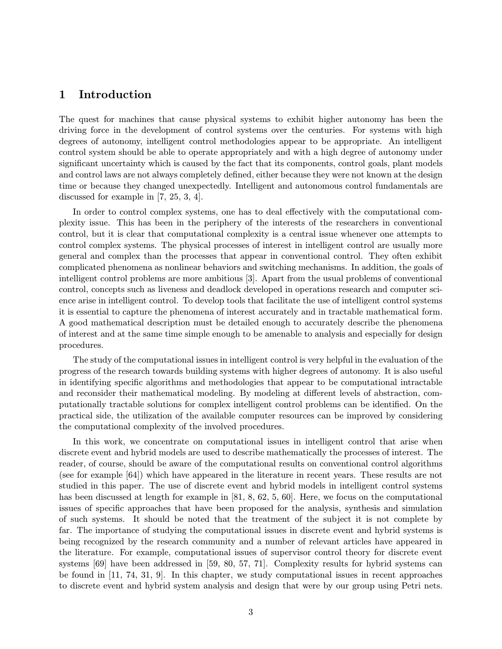## 1 Introduction

The quest for machines that cause physical systems to exhibit higher autonomy has been the driving force in the development of control systems over the centuries. For systems with high degrees of autonomy, intelligent control methodologies appear to be appropriate. An intelligent control system should be able to operate appropriately and with a high degree of autonomy under significant uncertainty which is caused by the fact that its components, control goals, plant models and control laws are not always completely defined, either because they were not known at the design time or because they changed unexpectedly. Intelligent and autonomous control fundamentals are discussed for example in [7, 25, 3, 4].

In order to control complex systems, one has to deal effectively with the computational complexity issue. This has been in the periphery of the interests of the researchers in conventional control, but it is clear that computational complexity is a central issue whenever one attempts to control complex systems. The physical processes of interest in intelligent control are usually more general and complex than the processes that appear in conventional control. They often exhibit complicated phenomena as nonlinear behaviors and switching mechanisms. In addition, the goals of intelligent control problems are more ambitious [3]. Apart from the usual problems of conventional control, concepts such as liveness and deadlock developed in operations research and computer science arise in intelligent control. To develop tools that facilitate the use of intelligent control systems it is essential to capture the phenomena of interest accurately and in tractable mathematical form. A good mathematical description must be detailed enough to accurately describe the phenomena of interest and at the same time simple enough to be amenable to analysis and especially for design procedures.

The study of the computational issues in intelligent control is very helpful in the evaluation of the progress of the research towards building systems with higher degrees of autonomy. It is also useful in identifying specific algorithms and methodologies that appear to be computational intractable and reconsider their mathematical modeling. By modeling at different levels of abstraction, computationally tractable solutions for complex intelligent control problems can be identified. On the practical side, the utilization of the available computer resources can be improved by considering the computational complexity of the involved procedures.

In this work, we concentrate on computational issues in intelligent control that arise when discrete event and hybrid models are used to describe mathematically the processes of interest. The reader, of course, should be aware of the computational results on conventional control algorithms (see for example [64]) which have appeared in the literature in recent years. These results are not studied in this paper. The use of discrete event and hybrid models in intelligent control systems has been discussed at length for example in [81, 8, 62, 5, 60]. Here, we focus on the computational issues of specific approaches that have been proposed for the analysis, synthesis and simulation of such systems. It should be noted that the treatment of the subject it is not complete by far. The importance of studying the computational issues in discrete event and hybrid systems is being recognized by the research community and a number of relevant articles have appeared in the literature. For example, computational issues of supervisor control theory for discrete event systems [69] have been addressed in [59, 80, 57, 71]. Complexity results for hybrid systems can be found in [11, 74, 31, 9]. In this chapter, we study computational issues in recent approaches to discrete event and hybrid system analysis and design that were by our group using Petri nets.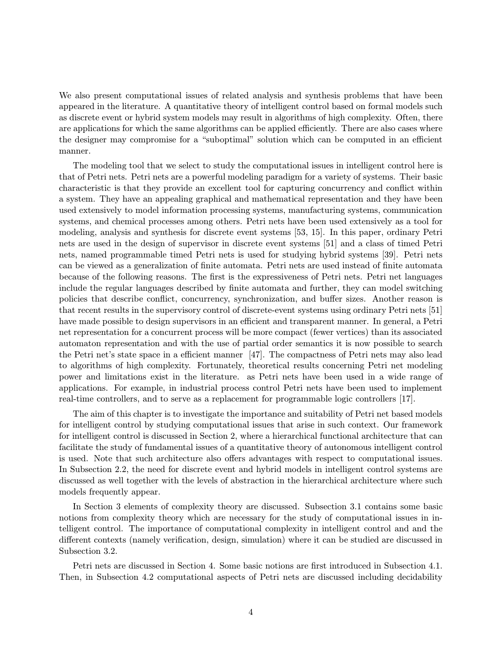We also present computational issues of related analysis and synthesis problems that have been appeared in the literature. A quantitative theory of intelligent control based on formal models such as discrete event or hybrid system models may result in algorithms of high complexity. Often, there are applications for which the same algorithms can be applied efficiently. There are also cases where the designer may compromise for a "suboptimal" solution which can be computed in an efficient manner.

The modeling tool that we select to study the computational issues in intelligent control here is that of Petri nets. Petri nets are a powerful modeling paradigm for a variety of systems. Their basic characteristic is that they provide an excellent tool for capturing concurrency and conflict within a system. They have an appealing graphical and mathematical representation and they have been used extensively to model information processing systems, manufacturing systems, communication systems, and chemical processes among others. Petri nets have been used extensively as a tool for modeling, analysis and synthesis for discrete event systems [53, 15]. In this paper, ordinary Petri nets are used in the design of supervisor in discrete event systems [51] and a class of timed Petri nets, named programmable timed Petri nets is used for studying hybrid systems [39]. Petri nets can be viewed as a generalization of finite automata. Petri nets are used instead of finite automata because of the following reasons. The first is the expressiveness of Petri nets. Petri net languages include the regular languages described by finite automata and further, they can model switching policies that describe conflict, concurrency, synchronization, and buffer sizes. Another reason is that recent results in the supervisory control of discrete-event systems using ordinary Petri nets [51] have made possible to design supervisors in an efficient and transparent manner. In general, a Petri net representation for a concurrent process will be more compact (fewer vertices) than its associated automaton representation and with the use of partial order semantics it is now possible to search the Petri net's state space in a efficient manner [47]. The compactness of Petri nets may also lead to algorithms of high complexity. Fortunately, theoretical results concerning Petri net modeling power and limitations exist in the literature. as Petri nets have been used in a wide range of applications. For example, in industrial process control Petri nets have been used to implement real-time controllers, and to serve as a replacement for programmable logic controllers [17].

The aim of this chapter is to investigate the importance and suitability of Petri net based models for intelligent control by studying computational issues that arise in such context. Our framework for intelligent control is discussed in Section 2, where a hierarchical functional architecture that can facilitate the study of fundamental issues of a quantitative theory of autonomous intelligent control is used. Note that such architecture also offers advantages with respect to computational issues. In Subsection 2.2, the need for discrete event and hybrid models in intelligent control systems are discussed as well together with the levels of abstraction in the hierarchical architecture where such models frequently appear.

In Section 3 elements of complexity theory are discussed. Subsection 3.1 contains some basic notions from complexity theory which are necessary for the study of computational issues in intelligent control. The importance of computational complexity in intelligent control and and the different contexts (namely verification, design, simulation) where it can be studied are discussed in Subsection 3.2.

Petri nets are discussed in Section 4. Some basic notions are first introduced in Subsection 4.1. Then, in Subsection 4.2 computational aspects of Petri nets are discussed including decidability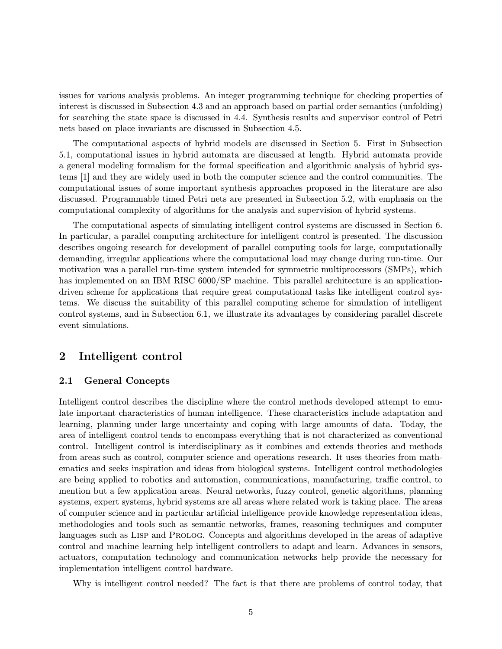issues for various analysis problems. An integer programming technique for checking properties of interest is discussed in Subsection 4.3 and an approach based on partial order semantics (unfolding) for searching the state space is discussed in 4.4. Synthesis results and supervisor control of Petri nets based on place invariants are discussed in Subsection 4.5.

The computational aspects of hybrid models are discussed in Section 5. First in Subsection 5.1, computational issues in hybrid automata are discussed at length. Hybrid automata provide a general modeling formalism for the formal specification and algorithmic analysis of hybrid systems [1] and they are widely used in both the computer science and the control communities. The computational issues of some important synthesis approaches proposed in the literature are also discussed. Programmable timed Petri nets are presented in Subsection 5.2, with emphasis on the computational complexity of algorithms for the analysis and supervision of hybrid systems.

The computational aspects of simulating intelligent control systems are discussed in Section 6. In particular, a parallel computing architecture for intelligent control is presented. The discussion describes ongoing research for development of parallel computing tools for large, computationally demanding, irregular applications where the computational load may change during run-time. Our motivation was a parallel run-time system intended for symmetric multiprocessors (SMPs), which has implemented on an IBM RISC 6000/SP machine. This parallel architecture is an applicationdriven scheme for applications that require great computational tasks like intelligent control systems. We discuss the suitability of this parallel computing scheme for simulation of intelligent control systems, and in Subsection 6.1, we illustrate its advantages by considering parallel discrete event simulations.

# 2 Intelligent control

### 2.1 General Concepts

Intelligent control describes the discipline where the control methods developed attempt to emulate important characteristics of human intelligence. These characteristics include adaptation and learning, planning under large uncertainty and coping with large amounts of data. Today, the area of intelligent control tends to encompass everything that is not characterized as conventional control. Intelligent control is interdisciplinary as it combines and extends theories and methods from areas such as control, computer science and operations research. It uses theories from mathematics and seeks inspiration and ideas from biological systems. Intelligent control methodologies are being applied to robotics and automation, communications, manufacturing, traffic control, to mention but a few application areas. Neural networks, fuzzy control, genetic algorithms, planning systems, expert systems, hybrid systems are all areas where related work is taking place. The areas of computer science and in particular artificial intelligence provide knowledge representation ideas, methodologies and tools such as semantic networks, frames, reasoning techniques and computer languages such as LISP and PROLOG. Concepts and algorithms developed in the areas of adaptive control and machine learning help intelligent controllers to adapt and learn. Advances in sensors, actuators, computation technology and communication networks help provide the necessary for implementation intelligent control hardware.

Why is intelligent control needed? The fact is that there are problems of control today, that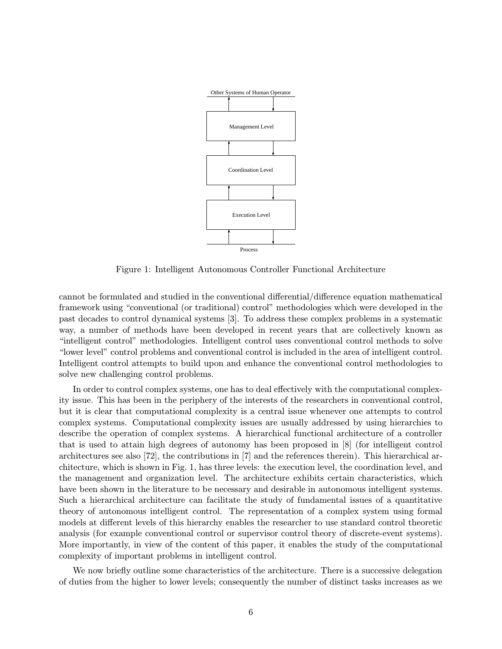

Figure 1: Intelligent Autonomous Controller Functional Architecture

cannot be formulated and studied in the conventional differential/difference equation mathematical framework using "conventional (or traditional) control" methodologies which were developed in the past decades to control dynamical systems [3]. To address these complex problems in a systematic way, a number of methods have been developed in recent years that are collectively known as "intelligent control" methodologies. Intelligent control uses conventional control methods to solve "lower level" control problems and conventional control is included in the area of intelligent control. Intelligent control attempts to build upon and enhance the conventional control methodologies to solve new challenging control problems.

In order to control complex systems, one has to deal effectively with the computational complexity issue. This has been in the periphery of the interests of the researchers in conventional control, but it is clear that computational complexity is a central issue whenever one attempts to control complex systems. Computational complexity issues are usually addressed by using hierarchies to describe the operation of complex systems. A hierarchical functional architecture of a controller that is used to attain high degrees of autonomy has been proposed in [8] (for intelligent control architectures see also [72], the contributions in [7] and the references therein). This hierarchical architecture, which is shown in Fig. 1, has three levels: the execution level, the coordination level, and the management and organization level. The architecture exhibits certain characteristics, which have been shown in the literature to be necessary and desirable in autonomous intelligent systems. Such a hierarchical architecture can facilitate the study of fundamental issues of a quantitative theory of autonomous intelligent control. The representation of a complex system using formal models at different levels of this hierarchy enables the researcher to use standard control theoretic analysis (for example conventional control or supervisor control theory of discrete-event systems). More importantly, in view of the content of this paper, it enables the study of the computational complexity of important problems in intelligent control.

We now briefly outline some characteristics of the architecture. There is a successive delegation of duties from the higher to lower levels; consequently the number of distinct tasks increases as we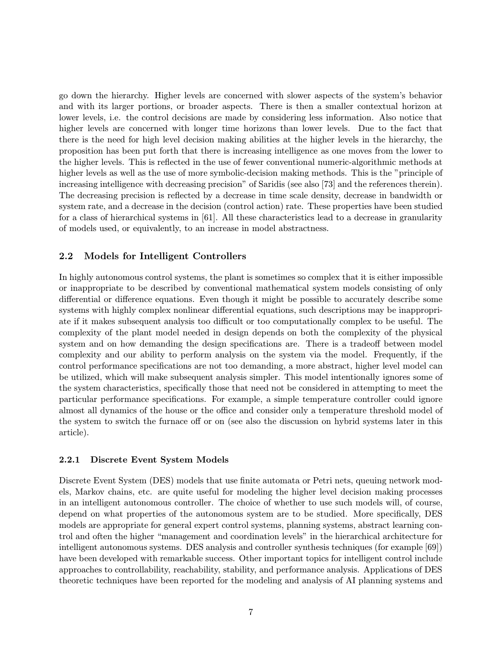go down the hierarchy. Higher levels are concerned with slower aspects of the system's behavior and with its larger portions, or broader aspects. There is then a smaller contextual horizon at lower levels, i.e. the control decisions are made by considering less information. Also notice that higher levels are concerned with longer time horizons than lower levels. Due to the fact that there is the need for high level decision making abilities at the higher levels in the hierarchy, the proposition has been put forth that there is increasing intelligence as one moves from the lower to the higher levels. This is reflected in the use of fewer conventional numeric-algorithmic methods at higher levels as well as the use of more symbolic-decision making methods. This is the "principle of increasing intelligence with decreasing precision" of Saridis (see also [73] and the references therein). The decreasing precision is reflected by a decrease in time scale density, decrease in bandwidth or system rate, and a decrease in the decision (control action) rate. These properties have been studied for a class of hierarchical systems in [61]. All these characteristics lead to a decrease in granularity of models used, or equivalently, to an increase in model abstractness.

### 2.2 Models for Intelligent Controllers

In highly autonomous control systems, the plant is sometimes so complex that it is either impossible or inappropriate to be described by conventional mathematical system models consisting of only differential or difference equations. Even though it might be possible to accurately describe some systems with highly complex nonlinear differential equations, such descriptions may be inappropriate if it makes subsequent analysis too difficult or too computationally complex to be useful. The complexity of the plant model needed in design depends on both the complexity of the physical system and on how demanding the design specifications are. There is a tradeoff between model complexity and our ability to perform analysis on the system via the model. Frequently, if the control performance specifications are not too demanding, a more abstract, higher level model can be utilized, which will make subsequent analysis simpler. This model intentionally ignores some of the system characteristics, specifically those that need not be considered in attempting to meet the particular performance specifications. For example, a simple temperature controller could ignore almost all dynamics of the house or the office and consider only a temperature threshold model of the system to switch the furnace off or on (see also the discussion on hybrid systems later in this article).

### 2.2.1 Discrete Event System Models

Discrete Event System (DES) models that use finite automata or Petri nets, queuing network models, Markov chains, etc. are quite useful for modeling the higher level decision making processes in an intelligent autonomous controller. The choice of whether to use such models will, of course, depend on what properties of the autonomous system are to be studied. More specifically, DES models are appropriate for general expert control systems, planning systems, abstract learning control and often the higher "management and coordination levels" in the hierarchical architecture for intelligent autonomous systems. DES analysis and controller synthesis techniques (for example [69]) have been developed with remarkable success. Other important topics for intelligent control include approaches to controllability, reachability, stability, and performance analysis. Applications of DES theoretic techniques have been reported for the modeling and analysis of AI planning systems and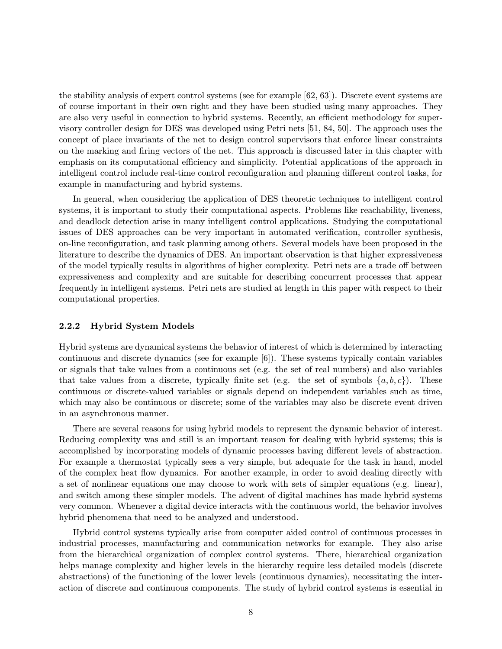the stability analysis of expert control systems (see for example [62, 63]). Discrete event systems are of course important in their own right and they have been studied using many approaches. They are also very useful in connection to hybrid systems. Recently, an efficient methodology for supervisory controller design for DES was developed using Petri nets [51, 84, 50]. The approach uses the concept of place invariants of the net to design control supervisors that enforce linear constraints on the marking and firing vectors of the net. This approach is discussed later in this chapter with emphasis on its computational efficiency and simplicity. Potential applications of the approach in intelligent control include real-time control reconfiguration and planning different control tasks, for example in manufacturing and hybrid systems.

In general, when considering the application of DES theoretic techniques to intelligent control systems, it is important to study their computational aspects. Problems like reachability, liveness, and deadlock detection arise in many intelligent control applications. Studying the computational issues of DES approaches can be very important in automated verification, controller synthesis, on-line reconfiguration, and task planning among others. Several models have been proposed in the literature to describe the dynamics of DES. An important observation is that higher expressiveness of the model typically results in algorithms of higher complexity. Petri nets are a trade off between expressiveness and complexity and are suitable for describing concurrent processes that appear frequently in intelligent systems. Petri nets are studied at length in this paper with respect to their computational properties.

#### 2.2.2 Hybrid System Models

Hybrid systems are dynamical systems the behavior of interest of which is determined by interacting continuous and discrete dynamics (see for example [6]). These systems typically contain variables or signals that take values from a continuous set (e.g. the set of real numbers) and also variables that take values from a discrete, typically finite set (e.g. the set of symbols  $\{a, b, c\}$ ). These continuous or discrete-valued variables or signals depend on independent variables such as time, which may also be continuous or discrete; some of the variables may also be discrete event driven in an asynchronous manner.

There are several reasons for using hybrid models to represent the dynamic behavior of interest. Reducing complexity was and still is an important reason for dealing with hybrid systems; this is accomplished by incorporating models of dynamic processes having different levels of abstraction. For example a thermostat typically sees a very simple, but adequate for the task in hand, model of the complex heat flow dynamics. For another example, in order to avoid dealing directly with a set of nonlinear equations one may choose to work with sets of simpler equations (e.g. linear), and switch among these simpler models. The advent of digital machines has made hybrid systems very common. Whenever a digital device interacts with the continuous world, the behavior involves hybrid phenomena that need to be analyzed and understood.

Hybrid control systems typically arise from computer aided control of continuous processes in industrial processes, manufacturing and communication networks for example. They also arise from the hierarchical organization of complex control systems. There, hierarchical organization helps manage complexity and higher levels in the hierarchy require less detailed models (discrete abstractions) of the functioning of the lower levels (continuous dynamics), necessitating the interaction of discrete and continuous components. The study of hybrid control systems is essential in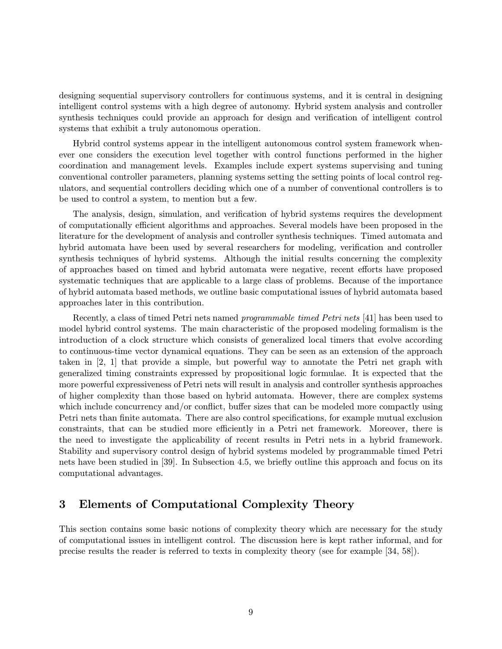designing sequential supervisory controllers for continuous systems, and it is central in designing intelligent control systems with a high degree of autonomy. Hybrid system analysis and controller synthesis techniques could provide an approach for design and verification of intelligent control systems that exhibit a truly autonomous operation.

Hybrid control systems appear in the intelligent autonomous control system framework whenever one considers the execution level together with control functions performed in the higher coordination and management levels. Examples include expert systems supervising and tuning conventional controller parameters, planning systems setting the setting points of local control regulators, and sequential controllers deciding which one of a number of conventional controllers is to be used to control a system, to mention but a few.

The analysis, design, simulation, and verification of hybrid systems requires the development of computationally efficient algorithms and approaches. Several models have been proposed in the literature for the development of analysis and controller synthesis techniques. Timed automata and hybrid automata have been used by several researchers for modeling, verification and controller synthesis techniques of hybrid systems. Although the initial results concerning the complexity of approaches based on timed and hybrid automata were negative, recent efforts have proposed systematic techniques that are applicable to a large class of problems. Because of the importance of hybrid automata based methods, we outline basic computational issues of hybrid automata based approaches later in this contribution.

Recently, a class of timed Petri nets named programmable timed Petri nets [41] has been used to model hybrid control systems. The main characteristic of the proposed modeling formalism is the introduction of a clock structure which consists of generalized local timers that evolve according to continuous-time vector dynamical equations. They can be seen as an extension of the approach taken in [2, 1] that provide a simple, but powerful way to annotate the Petri net graph with generalized timing constraints expressed by propositional logic formulae. It is expected that the more powerful expressiveness of Petri nets will result in analysis and controller synthesis approaches of higher complexity than those based on hybrid automata. However, there are complex systems which include concurrency and/or conflict, buffer sizes that can be modeled more compactly using Petri nets than finite automata. There are also control specifications, for example mutual exclusion constraints, that can be studied more efficiently in a Petri net framework. Moreover, there is the need to investigate the applicability of recent results in Petri nets in a hybrid framework. Stability and supervisory control design of hybrid systems modeled by programmable timed Petri nets have been studied in [39]. In Subsection 4.5, we briefly outline this approach and focus on its computational advantages.

# 3 Elements of Computational Complexity Theory

This section contains some basic notions of complexity theory which are necessary for the study of computational issues in intelligent control. The discussion here is kept rather informal, and for precise results the reader is referred to texts in complexity theory (see for example [34, 58]).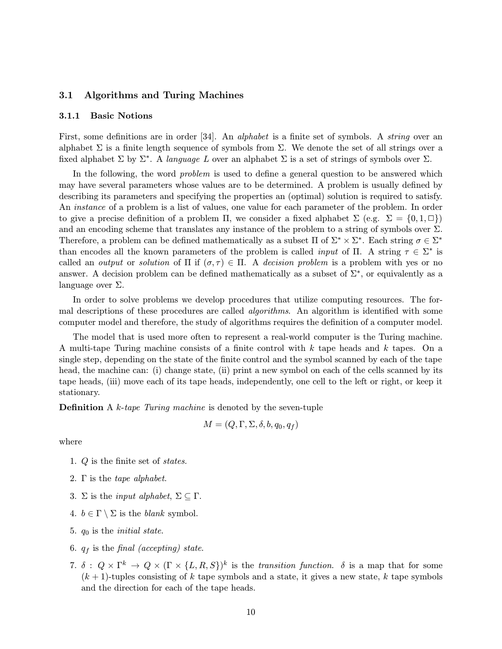### 3.1 Algorithms and Turing Machines

#### 3.1.1 Basic Notions

First, some definitions are in order [34]. An *alphabet* is a finite set of symbols. A *string* over an alphabet  $\Sigma$  is a finite length sequence of symbols from  $\Sigma$ . We denote the set of all strings over a fixed alphabet  $\Sigma$  by  $\Sigma^*$ . A language L over an alphabet  $\Sigma$  is a set of strings of symbols over  $\Sigma$ .

In the following, the word *problem* is used to define a general question to be answered which may have several parameters whose values are to be determined. A problem is usually defined by describing its parameters and specifying the properties an (optimal) solution is required to satisfy. An instance of a problem is a list of values, one value for each parameter of the problem. In order to give a precise definition of a problem Π, we consider a fixed alphabet  $\Sigma$  (e.g.  $\Sigma = \{0, 1, \square\}$ ) and an encoding scheme that translates any instance of the problem to a string of symbols over  $\Sigma$ . Therefore, a problem can be defined mathematically as a subset  $\Pi$  of  $\Sigma^* \times \Sigma^*$ . Each string  $\sigma \in \Sigma^*$ than encodes all the known parameters of the problem is called *input* of Π. A string  $\tau \in \Sigma^*$  is called an *output* or *solution* of  $\Pi$  if  $(\sigma, \tau) \in \Pi$ . A decision problem is a problem with yes or no answer. A decision problem can be defined mathematically as a subset of  $\Sigma^*$ , or equivalently as a language over  $\Sigma$ .

In order to solve problems we develop procedures that utilize computing resources. The formal descriptions of these procedures are called *algorithms*. An algorithm is identified with some computer model and therefore, the study of algorithms requires the definition of a computer model.

The model that is used more often to represent a real-world computer is the Turing machine. A multi-tape Turing machine consists of a finite control with k tape heads and k tapes. On a single step, depending on the state of the finite control and the symbol scanned by each of the tape head, the machine can: (i) change state, (ii) print a new symbol on each of the cells scanned by its tape heads, (iii) move each of its tape heads, independently, one cell to the left or right, or keep it stationary.

**Definition** A  $k$ -tape Turing machine is denoted by the seven-tuple

$$
M = (Q, \Gamma, \Sigma, \delta, b, q_0, q_f)
$$

where

- 1. Q is the finite set of states.
- 2.  $\Gamma$  is the *tape alphabet*.
- 3. Σ is the *input alphabet*,  $\Sigma \subseteq \Gamma$ .
- 4.  $b \in \Gamma \setminus \Sigma$  is the *blank* symbol.
- 5.  $q_0$  is the *initial state*.
- 6.  $q_f$  is the final (accepting) state.
- 7.  $\delta: Q \times \Gamma^k \to Q \times (\Gamma \times \{L, R, S\})^k$  is the transition function.  $\delta$  is a map that for some  $(k + 1)$ -tuples consisting of k tape symbols and a state, it gives a new state, k tape symbols and the direction for each of the tape heads.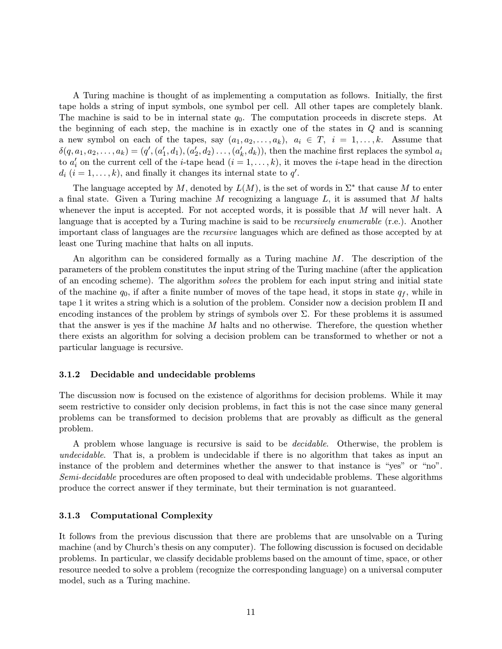A Turing machine is thought of as implementing a computation as follows. Initially, the first tape holds a string of input symbols, one symbol per cell. All other tapes are completely blank. The machine is said to be in internal state  $q_0$ . The computation proceeds in discrete steps. At the beginning of each step, the machine is in exactly one of the states in Q and is scanning a new symbol on each of the tapes, say  $(a_1, a_2, \ldots, a_k)$ ,  $a_i \in T$ ,  $i = 1, \ldots, k$ . Assume that  $\delta(q, a_1, a_2, \ldots, a_k) = (q', (a'_1, d_1), (a'_2, d_2) \ldots, (a'_k, d_k)),$  then the machine first replaces the symbol  $a_i$ to  $a'_i$  on the current cell of the *i*-tape head  $(i = 1, \ldots, k)$ , it moves the *i*-tape head in the direction  $d_i$   $(i = 1, ..., k)$ , and finally it changes its internal state to  $q'$ .

The language accepted by M, denoted by  $L(M)$ , is the set of words in  $\Sigma^*$  that cause M to enter a final state. Given a Turing machine  $M$  recognizing a language  $L$ , it is assumed that  $M$  halts whenever the input is accepted. For not accepted words, it is possible that  $M$  will never halt. A language that is accepted by a Turing machine is said to be *recursively enumerable* (r.e.). Another important class of languages are the recursive languages which are defined as those accepted by at least one Turing machine that halts on all inputs.

An algorithm can be considered formally as a Turing machine M. The description of the parameters of the problem constitutes the input string of the Turing machine (after the application of an encoding scheme). The algorithm solves the problem for each input string and initial state of the machine  $q_0$ , if after a finite number of moves of the tape head, it stops in state  $q_f$ , while in tape 1 it writes a string which is a solution of the problem. Consider now a decision problem Π and encoding instances of the problem by strings of symbols over  $\Sigma$ . For these problems it is assumed that the answer is yes if the machine M halts and no otherwise. Therefore, the question whether there exists an algorithm for solving a decision problem can be transformed to whether or not a particular language is recursive.

#### 3.1.2 Decidable and undecidable problems

The discussion now is focused on the existence of algorithms for decision problems. While it may seem restrictive to consider only decision problems, in fact this is not the case since many general problems can be transformed to decision problems that are provably as difficult as the general problem.

A problem whose language is recursive is said to be decidable. Otherwise, the problem is undecidable. That is, a problem is undecidable if there is no algorithm that takes as input an instance of the problem and determines whether the answer to that instance is "yes" or "no". Semi-decidable procedures are often proposed to deal with undecidable problems. These algorithms produce the correct answer if they terminate, but their termination is not guaranteed.

#### 3.1.3 Computational Complexity

It follows from the previous discussion that there are problems that are unsolvable on a Turing machine (and by Church's thesis on any computer). The following discussion is focused on decidable problems. In particular, we classify decidable problems based on the amount of time, space, or other resource needed to solve a problem (recognize the corresponding language) on a universal computer model, such as a Turing machine.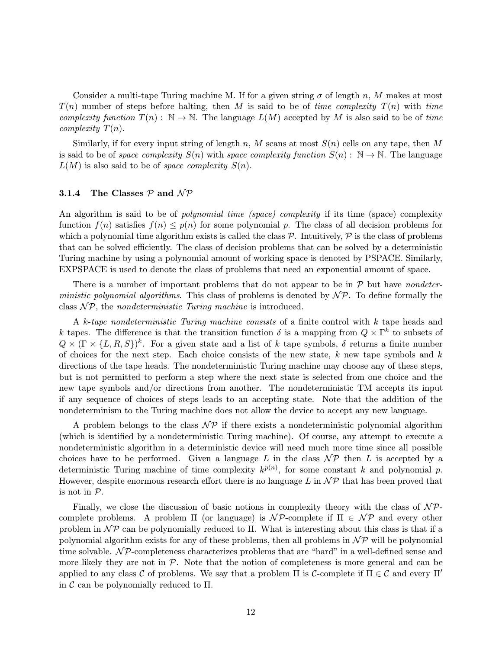Consider a multi-tape Turing machine M. If for a given string  $\sigma$  of length n, M makes at most  $T(n)$  number of steps before halting, then M is said to be of time complexity  $T(n)$  with time complexity function  $T(n): \mathbb{N} \to \mathbb{N}$ . The language  $L(M)$  accepted by M is also said to be of time complexity  $T(n)$ .

Similarly, if for every input string of length n, M scans at most  $S(n)$  cells on any tape, then M is said to be of *space complexity*  $S(n)$  with *space complexity function*  $S(n)$ :  $\mathbb{N} \to \mathbb{N}$ . The language  $L(M)$  is also said to be of *space complexity*  $S(n)$ .

#### 3.1.4 The Classes  $P$  and  $\mathcal{NP}$

An algorithm is said to be of *polynomial time (space) complexity* if its time (space) complexity function  $f(n)$  satisfies  $f(n) \leq p(n)$  for some polynomial p. The class of all decision problems for which a polynomial time algorithm exists is called the class  $P$ . Intuitively,  $P$  is the class of problems that can be solved efficiently. The class of decision problems that can be solved by a deterministic Turing machine by using a polynomial amount of working space is denoted by PSPACE. Similarly, EXPSPACE is used to denote the class of problems that need an exponential amount of space.

There is a number of important problems that do not appear to be in  $P$  but have *nondeter*ministic polynomial algorithms. This class of problems is denoted by  $\mathcal{NP}$ . To define formally the class  $\mathcal{NP}$ , the *nondeterministic Turing machine* is introduced.

A k-tape nondeterministic Turing machine consists of a finite control with k tape heads and k tapes. The difference is that the transition function  $\delta$  is a mapping from  $Q \times \Gamma^k$  to subsets of  $Q \times (\Gamma \times \{L, R, S\})^k$ . For a given state and a list of k tape symbols,  $\delta$  returns a finite number of choices for the next step. Each choice consists of the new state,  $k$  new tape symbols and  $k$ directions of the tape heads. The nondeterministic Turing machine may choose any of these steps, but is not permitted to perform a step where the next state is selected from one choice and the new tape symbols and/or directions from another. The nondeterministic TM accepts its input if any sequence of choices of steps leads to an accepting state. Note that the addition of the nondeterminism to the Turing machine does not allow the device to accept any new language.

A problem belongs to the class  $\mathcal{NP}$  if there exists a nondeterministic polynomial algorithm (which is identified by a nondeterministic Turing machine). Of course, any attempt to execute a nondeterministic algorithm in a deterministic device will need much more time since all possible choices have to be performed. Given a language L in the class  $\mathcal{NP}$  then L is accepted by a deterministic Turing machine of time complexity  $k^{p(n)}$ , for some constant k and polynomial p. However, despite enormous research effort there is no language L in  $\mathcal{NP}$  that has been proved that is not in P.

Finally, we close the discussion of basic notions in complexity theory with the class of  $\mathcal{NP}$ complete problems. A problem  $\Pi$  (or language) is  $N\mathcal{P}$ -complete if  $\Pi \in \mathcal{NP}$  and every other problem in  $\mathcal{NP}$  can be polynomially reduced to  $\Pi$ . What is interesting about this class is that if a polynomial algorithm exists for any of these problems, then all problems in  $\mathcal{NP}$  will be polynomial time solvable.  $\mathcal{NP}$ -completeness characterizes problems that are "hard" in a well-defined sense and more likely they are not in  $P$ . Note that the notion of completeness is more general and can be applied to any class C of problems. We say that a problem  $\Pi$  is C-complete if  $\Pi \in \mathcal{C}$  and every  $\Pi'$ in  $\mathcal C$  can be polynomially reduced to  $\Pi$ .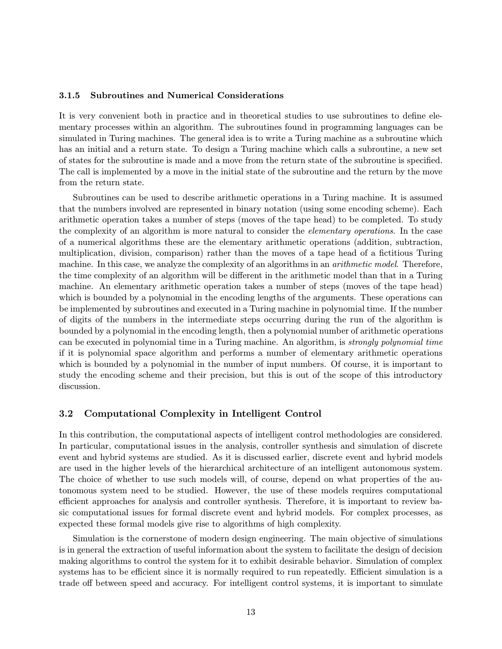### 3.1.5 Subroutines and Numerical Considerations

It is very convenient both in practice and in theoretical studies to use subroutines to define elementary processes within an algorithm. The subroutines found in programming languages can be simulated in Turing machines. The general idea is to write a Turing machine as a subroutine which has an initial and a return state. To design a Turing machine which calls a subroutine, a new set of states for the subroutine is made and a move from the return state of the subroutine is specified. The call is implemented by a move in the initial state of the subroutine and the return by the move from the return state.

Subroutines can be used to describe arithmetic operations in a Turing machine. It is assumed that the numbers involved are represented in binary notation (using some encoding scheme). Each arithmetic operation takes a number of steps (moves of the tape head) to be completed. To study the complexity of an algorithm is more natural to consider the elementary operations. In the case of a numerical algorithms these are the elementary arithmetic operations (addition, subtraction, multiplication, division, comparison) rather than the moves of a tape head of a fictitious Turing machine. In this case, we analyze the complexity of an algorithms in an *arithmetic model*. Therefore, the time complexity of an algorithm will be different in the arithmetic model than that in a Turing machine. An elementary arithmetic operation takes a number of steps (moves of the tape head) which is bounded by a polynomial in the encoding lengths of the arguments. These operations can be implemented by subroutines and executed in a Turing machine in polynomial time. If the number of digits of the numbers in the intermediate steps occurring during the run of the algorithm is bounded by a polynomial in the encoding length, then a polynomial number of arithmetic operations can be executed in polynomial time in a Turing machine. An algorithm, is strongly polynomial time if it is polynomial space algorithm and performs a number of elementary arithmetic operations which is bounded by a polynomial in the number of input numbers. Of course, it is important to study the encoding scheme and their precision, but this is out of the scope of this introductory discussion.

### 3.2 Computational Complexity in Intelligent Control

In this contribution, the computational aspects of intelligent control methodologies are considered. In particular, computational issues in the analysis, controller synthesis and simulation of discrete event and hybrid systems are studied. As it is discussed earlier, discrete event and hybrid models are used in the higher levels of the hierarchical architecture of an intelligent autonomous system. The choice of whether to use such models will, of course, depend on what properties of the autonomous system need to be studied. However, the use of these models requires computational efficient approaches for analysis and controller synthesis. Therefore, it is important to review basic computational issues for formal discrete event and hybrid models. For complex processes, as expected these formal models give rise to algorithms of high complexity.

Simulation is the cornerstone of modern design engineering. The main objective of simulations is in general the extraction of useful information about the system to facilitate the design of decision making algorithms to control the system for it to exhibit desirable behavior. Simulation of complex systems has to be efficient since it is normally required to run repeatedly. Efficient simulation is a trade off between speed and accuracy. For intelligent control systems, it is important to simulate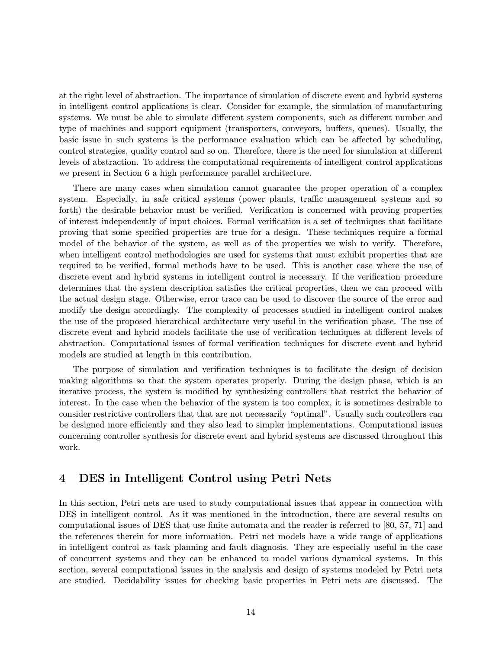at the right level of abstraction. The importance of simulation of discrete event and hybrid systems in intelligent control applications is clear. Consider for example, the simulation of manufacturing systems. We must be able to simulate different system components, such as different number and type of machines and support equipment (transporters, conveyors, buffers, queues). Usually, the basic issue in such systems is the performance evaluation which can be affected by scheduling, control strategies, quality control and so on. Therefore, there is the need for simulation at different levels of abstraction. To address the computational requirements of intelligent control applications we present in Section 6 a high performance parallel architecture.

There are many cases when simulation cannot guarantee the proper operation of a complex system. Especially, in safe critical systems (power plants, traffic management systems and so forth) the desirable behavior must be verified. Verification is concerned with proving properties of interest independently of input choices. Formal verification is a set of techniques that facilitate proving that some specified properties are true for a design. These techniques require a formal model of the behavior of the system, as well as of the properties we wish to verify. Therefore, when intelligent control methodologies are used for systems that must exhibit properties that are required to be verified, formal methods have to be used. This is another case where the use of discrete event and hybrid systems in intelligent control is necessary. If the verification procedure determines that the system description satisfies the critical properties, then we can proceed with the actual design stage. Otherwise, error trace can be used to discover the source of the error and modify the design accordingly. The complexity of processes studied in intelligent control makes the use of the proposed hierarchical architecture very useful in the verification phase. The use of discrete event and hybrid models facilitate the use of verification techniques at different levels of abstraction. Computational issues of formal verification techniques for discrete event and hybrid models are studied at length in this contribution.

The purpose of simulation and verification techniques is to facilitate the design of decision making algorithms so that the system operates properly. During the design phase, which is an iterative process, the system is modified by synthesizing controllers that restrict the behavior of interest. In the case when the behavior of the system is too complex, it is sometimes desirable to consider restrictive controllers that that are not necessarily "optimal". Usually such controllers can be designed more efficiently and they also lead to simpler implementations. Computational issues concerning controller synthesis for discrete event and hybrid systems are discussed throughout this work.

# 4 DES in Intelligent Control using Petri Nets

In this section, Petri nets are used to study computational issues that appear in connection with DES in intelligent control. As it was mentioned in the introduction, there are several results on computational issues of DES that use finite automata and the reader is referred to [80, 57, 71] and the references therein for more information. Petri net models have a wide range of applications in intelligent control as task planning and fault diagnosis. They are especially useful in the case of concurrent systems and they can be enhanced to model various dynamical systems. In this section, several computational issues in the analysis and design of systems modeled by Petri nets are studied. Decidability issues for checking basic properties in Petri nets are discussed. The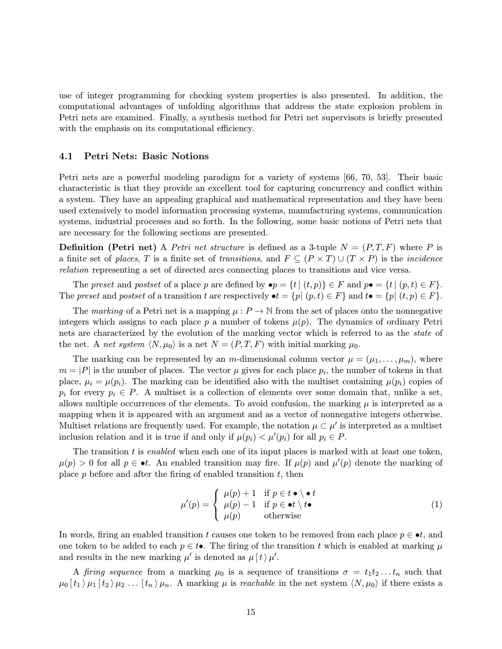use of integer programming for checking system properties is also presented. In addition, the computational advantages of unfolding algorithms that address the state explosion problem in Petri nets are examined. Finally, a synthesis method for Petri net supervisors is briefly presented with the emphasis on its computational efficiency.

#### 4.1 Petri Nets: Basic Notions

Petri nets are a powerful modeling paradigm for a variety of systems [66, 70, 53]. Their basic characteristic is that they provide an excellent tool for capturing concurrency and conflict within a system. They have an appealing graphical and mathematical representation and they have been used extensively to model information processing systems, manufacturing systems, communication systems, industrial processes and so forth. In the following, some basic notions of Petri nets that are necessary for the following sections are presented.

**Definition (Petri net)** A *Petri net structure* is defined as a 3-tuple  $N = (P, T, F)$  where P is a finite set of places, T is a finite set of transitions, and  $F \subseteq (P \times T) \cup (T \times P)$  is the incidence relation representing a set of directed arcs connecting places to transitions and vice versa.

The preset and postset of a place p are defined by  $\bullet p = \{t \mid (t, p)\} \in F$  and  $p \bullet = \{t \mid (p, t) \in F\}$ . The preset and postset of a transition t are respectively  $\bullet t = \{p | (p, t) \in F\}$  and  $t \bullet = \{p | (t, p) \in F\}$ .

The marking of a Petri net is a mapping  $\mu : P \to \mathbb{N}$  from the set of places onto the nonnegative integers which assigns to each place p a number of tokens  $\mu(p)$ . The dynamics of ordinary Petri nets are characterized by the evolution of the marking vector which is referred to as the *state* of the net. A net system  $\langle N,\mu_0\rangle$  is a net  $N = (P,T,F)$  with initial marking  $\mu_0$ .

The marking can be represented by an *m*-dimensional column vector  $\mu = (\mu_1, \dots, \mu_m)$ , where  $m = |P|$  is the number of places. The vector  $\mu$  gives for each place  $p_i$ , the number of tokens in that place,  $\mu_i = \mu(p_i)$ . The marking can be identified also with the multiset containing  $\mu(p_i)$  copies of  $p_i$  for every  $p_i \in P$ . A multiset is a collection of elements over some domain that, unlike a set, allows multiple occurrences of the elements. To avoid confusion, the marking  $\mu$  is interpreted as a mapping when it is appeared with an argument and as a vector of nonnegative integers otherwise. Multiset relations are frequently used. For example, the notation  $\mu \subset \mu'$  is interpreted as a multiset inclusion relation and it is true if and only if  $\mu(p_i) < \mu'(p_i)$  for all  $p_i \in P$ .

The transition t is enabled when each one of its input places is marked with at least one token,  $\mu(p) > 0$  for all  $p \in \bullet t$ . An enabled transition may fire. If  $\mu(p)$  and  $\mu'(p)$  denote the marking of place  $p$  before and after the firing of enabled transition  $t$ , then

$$
\mu'(p) = \begin{cases}\n\mu(p) + 1 & \text{if } p \in t \bullet \setminus \bullet t \\
\mu(p) - 1 & \text{if } p \in \bullet t \setminus t \bullet \\
\mu(p) & \text{otherwise}\n\end{cases}
$$
\n(1)

In words, firing an enabled transition t causes one token to be removed from each place  $p \in \bullet t$ , and one token to be added to each  $p \in t\bullet$ . The firing of the transition t which is enabled at marking  $\mu$ and results in the new marking  $\mu'$  is denoted as  $\mu\left(t\right)\mu'$ .

A firing sequence from a marking  $\mu_0$  is a sequence of transitions  $\sigma = t_1 t_2 \ldots t_n$  such that  $\mu_0$  [ $t_1$  )  $\mu_1$  [ $t_2$  )  $\mu_2$  ... [ $t_n$  )  $\mu_n$ . A marking  $\mu$  is *reachable* in the net system  $\langle N, \mu_0 \rangle$  if there exists a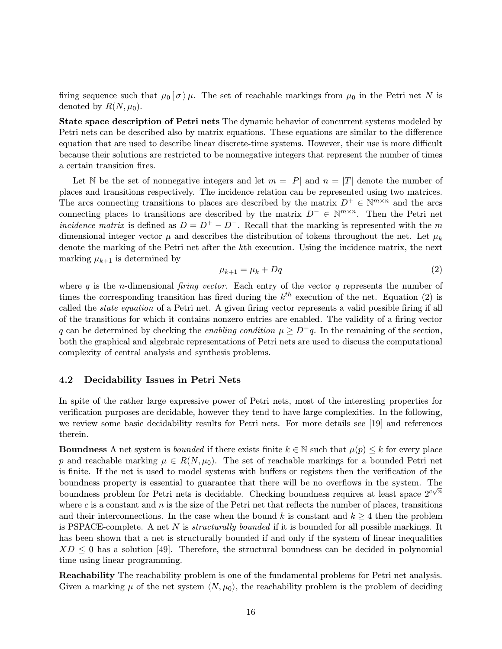firing sequence such that  $\mu_0$   $\sigma$   $\mu$ . The set of reachable markings from  $\mu_0$  in the Petri net N is denoted by  $R(N,\mu_0)$ .

State space description of Petri nets The dynamic behavior of concurrent systems modeled by Petri nets can be described also by matrix equations. These equations are similar to the difference equation that are used to describe linear discrete-time systems. However, their use is more difficult because their solutions are restricted to be nonnegative integers that represent the number of times a certain transition fires.

Let N be the set of nonnegative integers and let  $m = |P|$  and  $n = |T|$  denote the number of places and transitions respectively. The incidence relation can be represented using two matrices. The arcs connecting transitions to places are described by the matrix  $D^+ \in \mathbb{N}^{m \times n}$  and the arcs connecting places to transitions are described by the matrix  $D^- \in \mathbb{N}^{m \times n}$ . Then the Petri net incidence matrix is defined as  $D = D^+ - D^-$ . Recall that the marking is represented with the m dimensional integer vector  $\mu$  and describes the distribution of tokens throughout the net. Let  $\mu_k$ denote the marking of the Petri net after the kth execution. Using the incidence matrix, the next marking  $\mu_{k+1}$  is determined by

$$
\mu_{k+1} = \mu_k + Dq \tag{2}
$$

where q is the n-dimensional *firing vector*. Each entry of the vector q represents the number of times the corresponding transition has fired during the  $k^{th}$  execution of the net. Equation (2) is called the state equation of a Petri net. A given firing vector represents a valid possible firing if all of the transitions for which it contains nonzero entries are enabled. The validity of a firing vector q can be determined by checking the *enabling condition*  $\mu > D^-q$ . In the remaining of the section, both the graphical and algebraic representations of Petri nets are used to discuss the computational complexity of central analysis and synthesis problems.

#### 4.2 Decidability Issues in Petri Nets

In spite of the rather large expressive power of Petri nets, most of the interesting properties for verification purposes are decidable, however they tend to have large complexities. In the following, we review some basic decidability results for Petri nets. For more details see [19] and references therein.

**Boundness** A net system is *bounded* if there exists finite  $k \in \mathbb{N}$  such that  $\mu(p) \leq k$  for every place p and reachable marking  $\mu \in R(N, \mu_0)$ . The set of reachable markings for a bounded Petri net is finite. If the net is used to model systems with buffers or registers then the verification of the boundness property is essential to guarantee that there will be no overflows in the system. The boundness problem for Petri nets is decidable. Checking boundness requires at least space  $2^{c\sqrt{n}}$ where c is a constant and  $n$  is the size of the Petri net that reflects the number of places, transitions and their interconnections. In the case when the bound k is constant and  $k \geq 4$  then the problem is PSPACE-complete. A net  $N$  is *structurally bounded* if it is bounded for all possible markings. It has been shown that a net is structurally bounded if and only if the system of linear inequalities  $XD \leq 0$  has a solution [49]. Therefore, the structural boundness can be decided in polynomial time using linear programming.

Reachability The reachability problem is one of the fundamental problems for Petri net analysis. Given a marking  $\mu$  of the net system  $\langle N,\mu_0\rangle$ , the reachability problem is the problem of deciding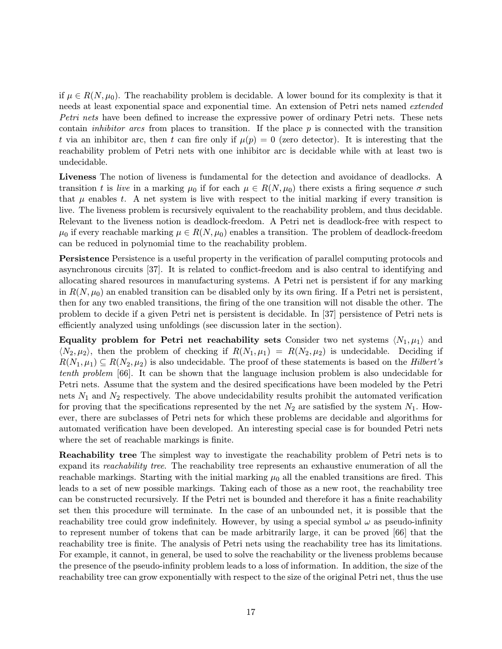if  $\mu \in R(N, \mu_0)$ . The reachability problem is decidable. A lower bound for its complexity is that it needs at least exponential space and exponential time. An extension of Petri nets named extended Petri nets have been defined to increase the expressive power of ordinary Petri nets. These nets contain *inhibitor arcs* from places to transition. If the place  $p$  is connected with the transition t via an inhibitor arc, then t can fire only if  $\mu(p) = 0$  (zero detector). It is interesting that the reachability problem of Petri nets with one inhibitor arc is decidable while with at least two is undecidable.

Liveness The notion of liveness is fundamental for the detection and avoidance of deadlocks. A transition t is live in a marking  $\mu_0$  if for each  $\mu \in R(N, \mu_0)$  there exists a firing sequence  $\sigma$  such that  $\mu$  enables t. A net system is live with respect to the initial marking if every transition is live. The liveness problem is recursively equivalent to the reachability problem, and thus decidable. Relevant to the liveness notion is deadlock-freedom. A Petri net is deadlock-free with respect to  $\mu_0$  if every reachable marking  $\mu \in R(N, \mu_0)$  enables a transition. The problem of deadlock-freedom can be reduced in polynomial time to the reachability problem.

Persistence Persistence is a useful property in the verification of parallel computing protocols and asynchronous circuits [37]. It is related to conflict-freedom and is also central to identifying and allocating shared resources in manufacturing systems. A Petri net is persistent if for any marking in  $R(N,\mu_0)$  an enabled transition can be disabled only by its own firing. If a Petri net is persistent, then for any two enabled transitions, the firing of the one transition will not disable the other. The problem to decide if a given Petri net is persistent is decidable. In [37] persistence of Petri nets is efficiently analyzed using unfoldings (see discussion later in the section).

Equality problem for Petri net reachability sets Consider two net systems  $\langle N_1, \mu_1 \rangle$  and  $\langle N_2, \mu_2 \rangle$ , then the problem of checking if  $R(N_1, \mu_1) = R(N_2, \mu_2)$  is undecidable. Deciding if  $R(N_1, \mu_1) \subseteq R(N_2, \mu_2)$  is also undecidable. The proof of these statements is based on the Hilbert's tenth problem [66]. It can be shown that the language inclusion problem is also undecidable for Petri nets. Assume that the system and the desired specifications have been modeled by the Petri nets  $N_1$  and  $N_2$  respectively. The above undecidability results prohibit the automated verification for proving that the specifications represented by the net  $N_2$  are satisfied by the system  $N_1$ . However, there are subclasses of Petri nets for which these problems are decidable and algorithms for automated verification have been developed. An interesting special case is for bounded Petri nets where the set of reachable markings is finite.

Reachability tree The simplest way to investigate the reachability problem of Petri nets is to expand its reachability tree. The reachability tree represents an exhaustive enumeration of all the reachable markings. Starting with the initial marking  $\mu_0$  all the enabled transitions are fired. This leads to a set of new possible markings. Taking each of those as a new root, the reachability tree can be constructed recursively. If the Petri net is bounded and therefore it has a finite reachability set then this procedure will terminate. In the case of an unbounded net, it is possible that the reachability tree could grow indefinitely. However, by using a special symbol  $\omega$  as pseudo-infinity to represent number of tokens that can be made arbitrarily large, it can be proved [66] that the reachability tree is finite. The analysis of Petri nets using the reachability tree has its limitations. For example, it cannot, in general, be used to solve the reachability or the liveness problems because the presence of the pseudo-infinity problem leads to a loss of information. In addition, the size of the reachability tree can grow exponentially with respect to the size of the original Petri net, thus the use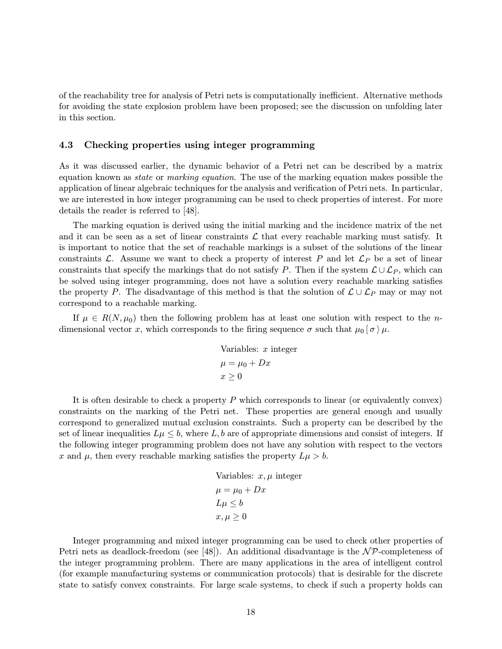of the reachability tree for analysis of Petri nets is computationally inefficient. Alternative methods for avoiding the state explosion problem have been proposed; see the discussion on unfolding later in this section.

### 4.3 Checking properties using integer programming

As it was discussed earlier, the dynamic behavior of a Petri net can be described by a matrix equation known as state or marking equation. The use of the marking equation makes possible the application of linear algebraic techniques for the analysis and verification of Petri nets. In particular, we are interested in how integer programming can be used to check properties of interest. For more details the reader is referred to [48].

The marking equation is derived using the initial marking and the incidence matrix of the net and it can be seen as a set of linear constraints  $\mathcal L$  that every reachable marking must satisfy. It is important to notice that the set of reachable markings is a subset of the solutions of the linear constraints L. Assume we want to check a property of interest P and let  $\mathcal{L}_P$  be a set of linear constraints that specify the markings that do not satisfy P. Then if the system  $\mathcal{L}\cup\mathcal{L}_P$ , which can be solved using integer programming, does not have a solution every reachable marking satisfies the property P. The disadvantage of this method is that the solution of  $\mathcal{L} \cup \mathcal{L}_P$  may or may not correspond to a reachable marking.

If  $\mu \in R(N, \mu_0)$  then the following problem has at least one solution with respect to the ndimensional vector x, which corresponds to the firing sequence  $\sigma$  such that  $\mu_0$   $\sigma$   $\rho$ .

Variables: x integer  
\n
$$
\mu = \mu_0 + Dx
$$
\n
$$
x \ge 0
$$

It is often desirable to check a property  $P$  which corresponds to linear (or equivalently convex) constraints on the marking of the Petri net. These properties are general enough and usually correspond to generalized mutual exclusion constraints. Such a property can be described by the set of linear inequalities  $L\mu \leq b$ , where L, b are of appropriate dimensions and consist of integers. If the following integer programming problem does not have any solution with respect to the vectors x and  $\mu$ , then every reachable marking satisfies the property  $L\mu > b$ .

Variables: 
$$
x, \mu
$$
 integer  
\n $\mu = \mu_0 + Dx$   
\n $L\mu \leq b$   
\n $x, \mu \geq 0$ 

Integer programming and mixed integer programming can be used to check other properties of Petri nets as deadlock-freedom (see [48]). An additional disadvantage is the  $N\mathcal{P}$ -completeness of the integer programming problem. There are many applications in the area of intelligent control (for example manufacturing systems or communication protocols) that is desirable for the discrete state to satisfy convex constraints. For large scale systems, to check if such a property holds can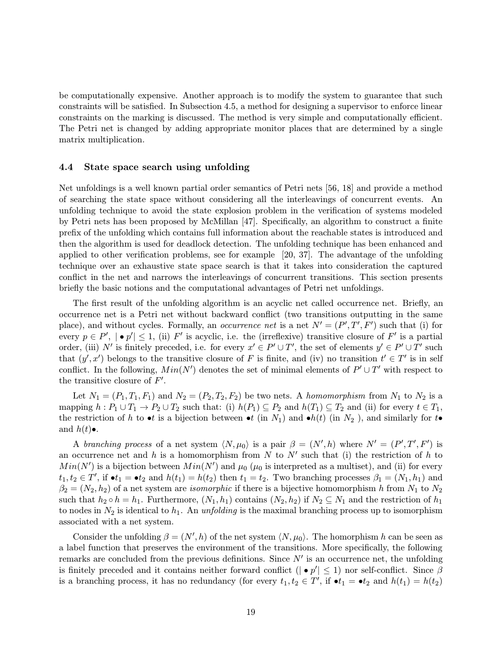be computationally expensive. Another approach is to modify the system to guarantee that such constraints will be satisfied. In Subsection 4.5, a method for designing a supervisor to enforce linear constraints on the marking is discussed. The method is very simple and computationally efficient. The Petri net is changed by adding appropriate monitor places that are determined by a single matrix multiplication.

### 4.4 State space search using unfolding

Net unfoldings is a well known partial order semantics of Petri nets [56, 18] and provide a method of searching the state space without considering all the interleavings of concurrent events. An unfolding technique to avoid the state explosion problem in the verification of systems modeled by Petri nets has been proposed by McMillan [47]. Specifically, an algorithm to construct a finite prefix of the unfolding which contains full information about the reachable states is introduced and then the algorithm is used for deadlock detection. The unfolding technique has been enhanced and applied to other verification problems, see for example [20, 37]. The advantage of the unfolding technique over an exhaustive state space search is that it takes into consideration the captured conflict in the net and narrows the interleavings of concurrent transitions. This section presents briefly the basic notions and the computational advantages of Petri net unfoldings.

The first result of the unfolding algorithm is an acyclic net called occurrence net. Briefly, an occurrence net is a Petri net without backward conflict (two transitions outputting in the same place), and without cycles. Formally, an *occurrence net* is a net  $N' = (P', T', F')$  such that (i) for every  $p \in P'$ ,  $| \bullet p' | \leq 1$ , (ii) F' is acyclic, i.e. the (irreflexive) transitive closure of F' is a partial order, (iii) N' is finitely preceded, i.e. for every  $x' \in P' \cup T'$ , the set of elements  $y' \in P' \cup T'$  such that  $(y', x')$  belongs to the transitive closure of F is finite, and (iv) no transition  $t' \in T'$  is in self conflict. In the following,  $Min(N')$  denotes the set of minimal elements of  $P' \cup T'$  with respect to the transitive closure of  $F'$ .

Let  $N_1 = (P_1, T_1, F_1)$  and  $N_2 = (P_2, T_2, F_2)$  be two nets. A homomorphism from  $N_1$  to  $N_2$  is a mapping  $h : P_1 \cup T_1 \to P_2 \cup T_2$  such that: (i)  $h(P_1) \subseteq P_2$  and  $h(T_1) \subseteq T_2$  and (ii) for every  $t \in T_1$ , the restriction of h to  $\bullet t$  is a bijection between  $\bullet t$  (in  $N_1$ ) and  $\bullet h(t)$  (in  $N_2$ ), and similarly for  $t\bullet$ and  $h(t)$ .

A branching process of a net system  $\langle N,\mu_0\rangle$  is a pair  $\beta = (N',h)$  where  $N' = (P',T',F')$  is an occurrence net and h is a homomorphism from N to  $N'$  such that (i) the restriction of h to  $Min(N')$  is a bijection between  $Min(N')$  and  $\mu_0$  ( $\mu_0$  is interpreted as a multiset), and (ii) for every  $t_1, t_2 \in T'$ , if  $\bullet t_1 = \bullet t_2$  and  $h(t_1) = h(t_2)$  then  $t_1 = t_2$ . Two branching processes  $\beta_1 = (N_1, h_1)$  and  $\beta_2 = (N_2, h_2)$  of a net system are *isomorphic* if there is a bijective homomorphism h from  $N_1$  to  $N_2$ such that  $h_2 \circ h = h_1$ . Furthermore,  $(N_1, h_1)$  contains  $(N_2, h_2)$  if  $N_2 \subseteq N_1$  and the restriction of  $h_1$ to nodes in  $N_2$  is identical to  $h_1$ . An unfolding is the maximal branching process up to isomorphism associated with a net system.

Consider the unfolding  $\beta = (N', h)$  of the net system  $\langle N, \mu_0 \rangle$ . The homorphism h can be seen as a label function that preserves the environment of the transitions. More specifically, the following remarks are concluded from the previous definitions. Since  $N'$  is an occurrence net, the unfolding is finitely preceded and it contains neither forward conflict  $(| \bullet p' | \leq 1)$  nor self-conflict. Since  $\beta$ is a branching process, it has no redundancy (for every  $t_1, t_2 \in T'$ , if  $\bullet t_1 = \bullet t_2$  and  $h(t_1) = h(t_2)$ )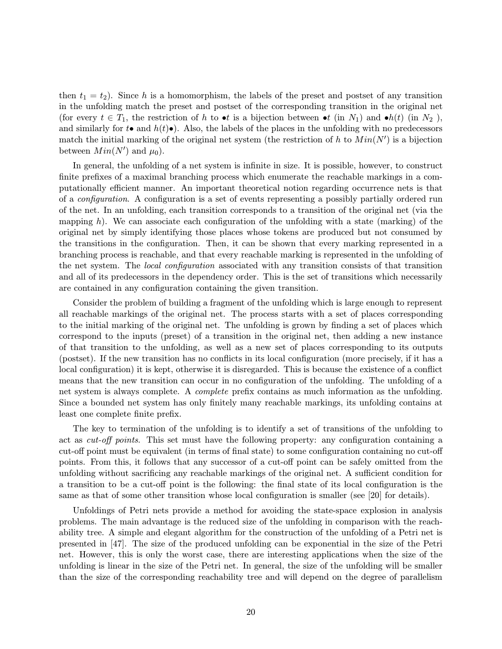then  $t_1 = t_2$ ). Since h is a homomorphism, the labels of the preset and postset of any transition in the unfolding match the preset and postset of the corresponding transition in the original net (for every  $t \in T_1$ , the restriction of h to  $\bullet t$  is a bijection between  $\bullet t$  (in  $N_1$ ) and  $\bullet h(t)$  (in  $N_2$ ), and similarly for  $t\bullet$  and  $h(t)\bullet$ ). Also, the labels of the places in the unfolding with no predecessors match the initial marking of the original net system (the restriction of h to  $Min(N')$ ) is a bijection between  $Min(N')$  and  $\mu_0$ ).

In general, the unfolding of a net system is infinite in size. It is possible, however, to construct finite prefixes of a maximal branching process which enumerate the reachable markings in a computationally efficient manner. An important theoretical notion regarding occurrence nets is that of a configuration. A configuration is a set of events representing a possibly partially ordered run of the net. In an unfolding, each transition corresponds to a transition of the original net (via the mapping h). We can associate each configuration of the unfolding with a state (marking) of the original net by simply identifying those places whose tokens are produced but not consumed by the transitions in the configuration. Then, it can be shown that every marking represented in a branching process is reachable, and that every reachable marking is represented in the unfolding of the net system. The local configuration associated with any transition consists of that transition and all of its predecessors in the dependency order. This is the set of transitions which necessarily are contained in any configuration containing the given transition.

Consider the problem of building a fragment of the unfolding which is large enough to represent all reachable markings of the original net. The process starts with a set of places corresponding to the initial marking of the original net. The unfolding is grown by finding a set of places which correspond to the inputs (preset) of a transition in the original net, then adding a new instance of that transition to the unfolding, as well as a new set of places corresponding to its outputs (postset). If the new transition has no conflicts in its local configuration (more precisely, if it has a local configuration) it is kept, otherwise it is disregarded. This is because the existence of a conflict means that the new transition can occur in no configuration of the unfolding. The unfolding of a net system is always complete. A complete prefix contains as much information as the unfolding. Since a bounded net system has only finitely many reachable markings, its unfolding contains at least one complete finite prefix.

The key to termination of the unfolding is to identify a set of transitions of the unfolding to act as cut-off points. This set must have the following property: any configuration containing a cut-off point must be equivalent (in terms of final state) to some configuration containing no cut-off points. From this, it follows that any successor of a cut-off point can be safely omitted from the unfolding without sacrificing any reachable markings of the original net. A sufficient condition for a transition to be a cut-off point is the following: the final state of its local configuration is the same as that of some other transition whose local configuration is smaller (see [20] for details).

Unfoldings of Petri nets provide a method for avoiding the state-space explosion in analysis problems. The main advantage is the reduced size of the unfolding in comparison with the reachability tree. A simple and elegant algorithm for the construction of the unfolding of a Petri net is presented in [47]. The size of the produced unfolding can be exponential in the size of the Petri net. However, this is only the worst case, there are interesting applications when the size of the unfolding is linear in the size of the Petri net. In general, the size of the unfolding will be smaller than the size of the corresponding reachability tree and will depend on the degree of parallelism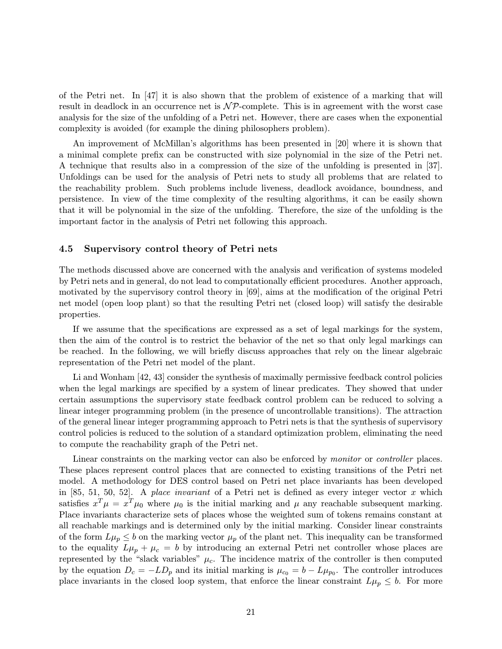of the Petri net. In [47] it is also shown that the problem of existence of a marking that will result in deadlock in an occurrence net is  $\mathcal{NP}$ -complete. This is in agreement with the worst case analysis for the size of the unfolding of a Petri net. However, there are cases when the exponential complexity is avoided (for example the dining philosophers problem).

An improvement of McMillan's algorithms has been presented in [20] where it is shown that a minimal complete prefix can be constructed with size polynomial in the size of the Petri net. A technique that results also in a compression of the size of the unfolding is presented in [37]. Unfoldings can be used for the analysis of Petri nets to study all problems that are related to the reachability problem. Such problems include liveness, deadlock avoidance, boundness, and persistence. In view of the time complexity of the resulting algorithms, it can be easily shown that it will be polynomial in the size of the unfolding. Therefore, the size of the unfolding is the important factor in the analysis of Petri net following this approach.

### 4.5 Supervisory control theory of Petri nets

The methods discussed above are concerned with the analysis and verification of systems modeled by Petri nets and in general, do not lead to computationally efficient procedures. Another approach, motivated by the supervisory control theory in [69], aims at the modification of the original Petri net model (open loop plant) so that the resulting Petri net (closed loop) will satisfy the desirable properties.

If we assume that the specifications are expressed as a set of legal markings for the system, then the aim of the control is to restrict the behavior of the net so that only legal markings can be reached. In the following, we will briefly discuss approaches that rely on the linear algebraic representation of the Petri net model of the plant.

Li and Wonham [42, 43] consider the synthesis of maximally permissive feedback control policies when the legal markings are specified by a system of linear predicates. They showed that under certain assumptions the supervisory state feedback control problem can be reduced to solving a linear integer programming problem (in the presence of uncontrollable transitions). The attraction of the general linear integer programming approach to Petri nets is that the synthesis of supervisory control policies is reduced to the solution of a standard optimization problem, eliminating the need to compute the reachability graph of the Petri net.

Linear constraints on the marking vector can also be enforced by *monitor* or *controller* places. These places represent control places that are connected to existing transitions of the Petri net model. A methodology for DES control based on Petri net place invariants has been developed in [85, 51, 50, 52]. A place invariant of a Petri net is defined as every integer vector x which satisfies  $x^T \mu = x^T \mu_0$  where  $\mu_0$  is the initial marking and  $\mu$  any reachable subsequent marking. Place invariants characterize sets of places whose the weighted sum of tokens remains constant at all reachable markings and is determined only by the initial marking. Consider linear constraints of the form  $L\mu_p \leq b$  on the marking vector  $\mu_p$  of the plant net. This inequality can be transformed to the equality  $L\mu_p + \mu_c = b$  by introducing an external Petri net controller whose places are represented by the "slack variables"  $\mu_c$ . The incidence matrix of the controller is then computed by the equation  $D_c = -LD_p$  and its initial marking is  $\mu_{c_0} = b - L\mu_{p_0}$ . The controller introduces place invariants in the closed loop system, that enforce the linear constraint  $L\mu_p \leq b$ . For more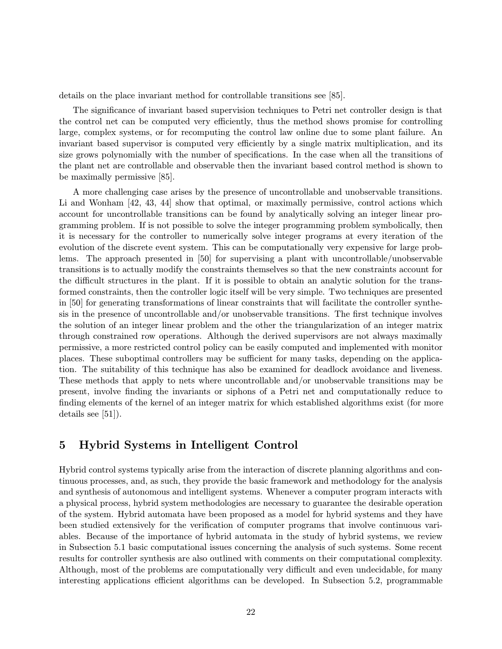details on the place invariant method for controllable transitions see [85].

The significance of invariant based supervision techniques to Petri net controller design is that the control net can be computed very efficiently, thus the method shows promise for controlling large, complex systems, or for recomputing the control law online due to some plant failure. An invariant based supervisor is computed very efficiently by a single matrix multiplication, and its size grows polynomially with the number of specifications. In the case when all the transitions of the plant net are controllable and observable then the invariant based control method is shown to be maximally permissive [85].

A more challenging case arises by the presence of uncontrollable and unobservable transitions. Li and Wonham [42, 43, 44] show that optimal, or maximally permissive, control actions which account for uncontrollable transitions can be found by analytically solving an integer linear programming problem. If is not possible to solve the integer programming problem symbolically, then it is necessary for the controller to numerically solve integer programs at every iteration of the evolution of the discrete event system. This can be computationally very expensive for large problems. The approach presented in [50] for supervising a plant with uncontrollable/unobservable transitions is to actually modify the constraints themselves so that the new constraints account for the difficult structures in the plant. If it is possible to obtain an analytic solution for the transformed constraints, then the controller logic itself will be very simple. Two techniques are presented in [50] for generating transformations of linear constraints that will facilitate the controller synthesis in the presence of uncontrollable and/or unobservable transitions. The first technique involves the solution of an integer linear problem and the other the triangularization of an integer matrix through constrained row operations. Although the derived supervisors are not always maximally permissive, a more restricted control policy can be easily computed and implemented with monitor places. These suboptimal controllers may be sufficient for many tasks, depending on the application. The suitability of this technique has also be examined for deadlock avoidance and liveness. These methods that apply to nets where uncontrollable and/or unobservable transitions may be present, involve finding the invariants or siphons of a Petri net and computationally reduce to finding elements of the kernel of an integer matrix for which established algorithms exist (for more details see [51]).

# 5 Hybrid Systems in Intelligent Control

Hybrid control systems typically arise from the interaction of discrete planning algorithms and continuous processes, and, as such, they provide the basic framework and methodology for the analysis and synthesis of autonomous and intelligent systems. Whenever a computer program interacts with a physical process, hybrid system methodologies are necessary to guarantee the desirable operation of the system. Hybrid automata have been proposed as a model for hybrid systems and they have been studied extensively for the verification of computer programs that involve continuous variables. Because of the importance of hybrid automata in the study of hybrid systems, we review in Subsection 5.1 basic computational issues concerning the analysis of such systems. Some recent results for controller synthesis are also outlined with comments on their computational complexity. Although, most of the problems are computationally very difficult and even undecidable, for many interesting applications efficient algorithms can be developed. In Subsection 5.2, programmable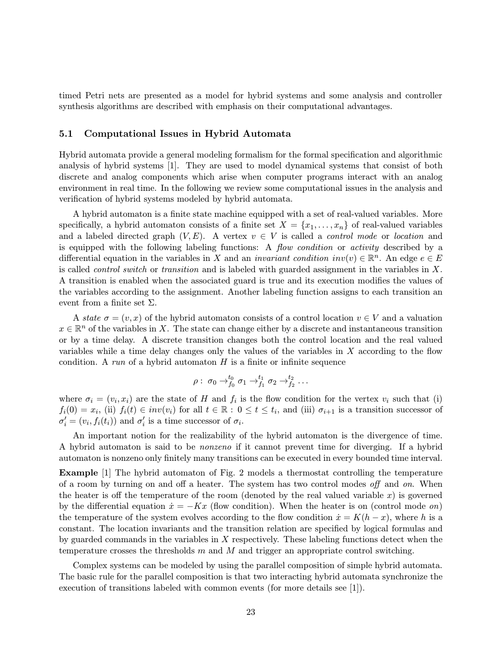timed Petri nets are presented as a model for hybrid systems and some analysis and controller synthesis algorithms are described with emphasis on their computational advantages.

#### 5.1 Computational Issues in Hybrid Automata

Hybrid automata provide a general modeling formalism for the formal specification and algorithmic analysis of hybrid systems [1]. They are used to model dynamical systems that consist of both discrete and analog components which arise when computer programs interact with an analog environment in real time. In the following we review some computational issues in the analysis and verification of hybrid systems modeled by hybrid automata.

A hybrid automaton is a finite state machine equipped with a set of real-valued variables. More specifically, a hybrid automaton consists of a finite set  $X = \{x_1, \ldots, x_n\}$  of real-valued variables and a labeled directed graph  $(V, E)$ . A vertex  $v \in V$  is called a *control mode* or *location* and is equipped with the following labeling functions: A flow condition or activity described by a differential equation in the variables in X and an *invariant condition*  $inv(v) \in \mathbb{R}^n$ . An edge  $e \in E$ is called *control switch* or *transition* and is labeled with guarded assignment in the variables in  $X$ . A transition is enabled when the associated guard is true and its execution modifies the values of the variables according to the assignment. Another labeling function assigns to each transition an event from a finite set  $\Sigma$ .

A state  $\sigma = (v, x)$  of the hybrid automaton consists of a control location  $v \in V$  and a valuation  $x \in \mathbb{R}^n$  of the variables in X. The state can change either by a discrete and instantaneous transition or by a time delay. A discrete transition changes both the control location and the real valued variables while a time delay changes only the values of the variables in  $X$  according to the flow condition. A run of a hybrid automaton  $H$  is a finite or infinite sequence

$$
\rho: \; \sigma_0 \rightarrow_{f_0}^{t_0} \sigma_1 \rightarrow_{f_1}^{t_1} \sigma_2 \rightarrow_{f_2}^{t_2} \ldots
$$

where  $\sigma_i = (v_i, x_i)$  are the state of H and  $f_i$  is the flow condition for the vertex  $v_i$  such that (i)  $f_i(0) = x_i$ , (ii)  $f_i(t) \in inv(v_i)$  for all  $t \in \mathbb{R} : 0 \le t \le t_i$ , and (iii)  $\sigma_{i+1}$  is a transition successor of  $\sigma'_{i} = (v_{i}, f_{i}(t_{i}))$  and  $\sigma'_{i}$  is a time successor of  $\sigma_{i}$ .

An important notion for the realizability of the hybrid automaton is the divergence of time. A hybrid automaton is said to be nonzeno if it cannot prevent time for diverging. If a hybrid automaton is nonzeno only finitely many transitions can be executed in every bounded time interval.

Example [1] The hybrid automaton of Fig. 2 models a thermostat controlling the temperature of a room by turning on and off a heater. The system has two control modes off and on. When the heater is off the temperature of the room (denoted by the real valued variable  $x$ ) is governed by the differential equation  $\dot{x} = -Kx$  (flow condition). When the heater is on (control mode on) the temperature of the system evolves according to the flow condition  $\dot{x} = K(h-x)$ , where h is a constant. The location invariants and the transition relation are specified by logical formulas and by guarded commands in the variables in  $X$  respectively. These labeling functions detect when the temperature crosses the thresholds  $m$  and  $M$  and trigger an appropriate control switching.

Complex systems can be modeled by using the parallel composition of simple hybrid automata. The basic rule for the parallel composition is that two interacting hybrid automata synchronize the execution of transitions labeled with common events (for more details see [1]).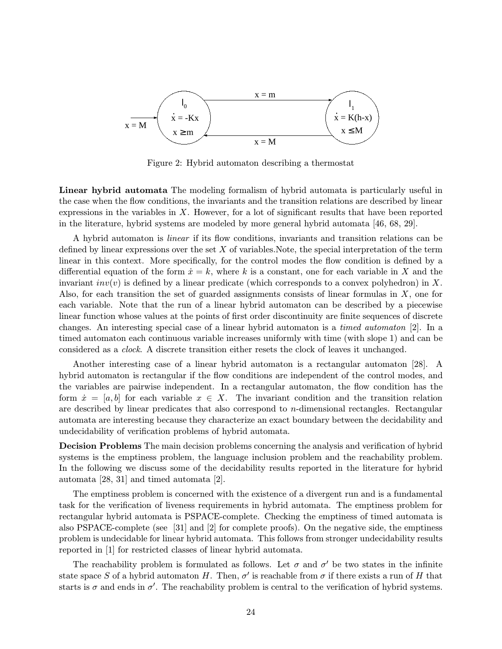

Figure 2: Hybrid automaton describing a thermostat

Linear hybrid automata The modeling formalism of hybrid automata is particularly useful in the case when the flow conditions, the invariants and the transition relations are described by linear expressions in the variables in  $X$ . However, for a lot of significant results that have been reported in the literature, hybrid systems are modeled by more general hybrid automata [46, 68, 29].

A hybrid automaton is linear if its flow conditions, invariants and transition relations can be defined by linear expressions over the set  $X$  of variables. Note, the special interpretation of the term linear in this context. More specifically, for the control modes the flow condition is defined by a differential equation of the form  $\dot{x} = k$ , where k is a constant, one for each variable in X and the invariant  $inv(v)$  is defined by a linear predicate (which corresponds to a convex polyhedron) in X. Also, for each transition the set of guarded assignments consists of linear formulas in  $X$ , one for each variable. Note that the run of a linear hybrid automaton can be described by a piecewise linear function whose values at the points of first order discontinuity are finite sequences of discrete changes. An interesting special case of a linear hybrid automaton is a timed automaton [2]. In a timed automaton each continuous variable increases uniformly with time (with slope 1) and can be considered as a clock. A discrete transition either resets the clock of leaves it unchanged.

Another interesting case of a linear hybrid automaton is a rectangular automaton [28]. A hybrid automaton is rectangular if the flow conditions are independent of the control modes, and the variables are pairwise independent. In a rectangular automaton, the flow condition has the form  $\dot{x} = [a, b]$  for each variable  $x \in X$ . The invariant condition and the transition relation are described by linear predicates that also correspond to  $n$ -dimensional rectangles. Rectangular automata are interesting because they characterize an exact boundary between the decidability and undecidability of verification problems of hybrid automata.

Decision Problems The main decision problems concerning the analysis and verification of hybrid systems is the emptiness problem, the language inclusion problem and the reachability problem. In the following we discuss some of the decidability results reported in the literature for hybrid automata [28, 31] and timed automata [2].

The emptiness problem is concerned with the existence of a divergent run and is a fundamental task for the verification of liveness requirements in hybrid automata. The emptiness problem for rectangular hybrid automata is PSPACE-complete. Checking the emptiness of timed automata is also PSPACE-complete (see [31] and [2] for complete proofs). On the negative side, the emptiness problem is undecidable for linear hybrid automata. This follows from stronger undecidability results reported in [1] for restricted classes of linear hybrid automata.

The reachability problem is formulated as follows. Let  $\sigma$  and  $\sigma'$  be two states in the infinite state space S of a hybrid automaton H. Then,  $\sigma'$  is reachable from  $\sigma$  if there exists a run of H that starts is  $\sigma$  and ends in  $\sigma'$ . The reachability problem is central to the verification of hybrid systems.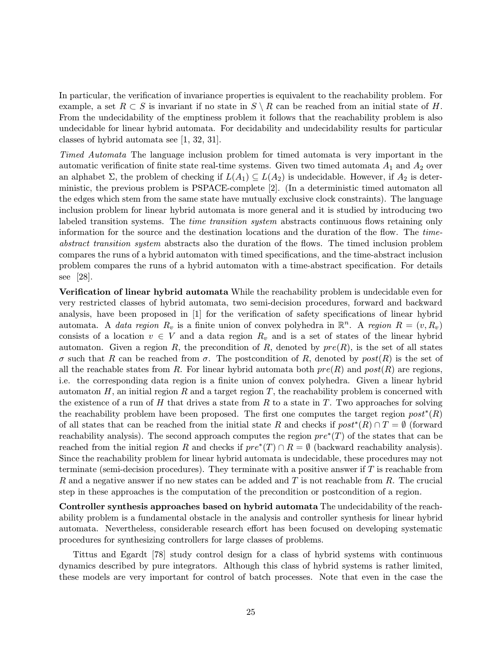In particular, the verification of invariance properties is equivalent to the reachability problem. For example, a set  $R \subset S$  is invariant if no state in  $S \setminus R$  can be reached from an initial state of H. From the undecidability of the emptiness problem it follows that the reachability problem is also undecidable for linear hybrid automata. For decidability and undecidability results for particular classes of hybrid automata see [1, 32, 31].

Timed Automata The language inclusion problem for timed automata is very important in the automatic verification of finite state real-time systems. Given two timed automata  $A_1$  and  $A_2$  over an alphabet  $\Sigma$ , the problem of checking if  $L(A_1) \subseteq L(A_2)$  is undecidable. However, if  $A_2$  is deterministic, the previous problem is PSPACE-complete [2]. (In a deterministic timed automaton all the edges which stem from the same state have mutually exclusive clock constraints). The language inclusion problem for linear hybrid automata is more general and it is studied by introducing two labeled transition systems. The *time transition system* abstracts continuous flows retaining only information for the source and the destination locations and the duration of the flow. The timeabstract transition system abstracts also the duration of the flows. The timed inclusion problem compares the runs of a hybrid automaton with timed specifications, and the time-abstract inclusion problem compares the runs of a hybrid automaton with a time-abstract specification. For details see [28].

Verification of linear hybrid automata While the reachability problem is undecidable even for very restricted classes of hybrid automata, two semi-decision procedures, forward and backward analysis, have been proposed in [1] for the verification of safety specifications of linear hybrid automata. A data region  $R_v$  is a finite union of convex polyhedra in  $\mathbb{R}^n$ . A region  $R = (v, R_v)$ consists of a location  $v \in V$  and a data region  $R_v$  and is a set of states of the linear hybrid automaton. Given a region R, the precondition of R, denoted by  $pre(R)$ , is the set of all states σ such that R can be reached from σ. The postcondition of R, denoted by  $post(R)$  is the set of all the reachable states from R. For linear hybrid automata both  $pre(R)$  and  $post(R)$  are regions, i.e. the corresponding data region is a finite union of convex polyhedra. Given a linear hybrid automaton  $H$ , an initial region  $R$  and a target region  $T$ , the reachability problem is concerned with the existence of a run of H that drives a state from R to a state in T. Two approaches for solving the reachability problem have been proposed. The first one computes the target region  $post*(R)$ of all states that can be reached from the initial state R and checks if  $post*(R) \cap T = \emptyset$  (forward reachability analysis). The second approach computes the region  $pre^*(T)$  of the states that can be reached from the initial region R and checks if  $pre^*(T) \cap R = \emptyset$  (backward reachability analysis). Since the reachability problem for linear hybrid automata is undecidable, these procedures may not terminate (semi-decision procedures). They terminate with a positive answer if  $T$  is reachable from R and a negative answer if no new states can be added and T is not reachable from R. The crucial step in these approaches is the computation of the precondition or postcondition of a region.

Controller synthesis approaches based on hybrid automata The undecidability of the reachability problem is a fundamental obstacle in the analysis and controller synthesis for linear hybrid automata. Nevertheless, considerable research effort has been focused on developing systematic procedures for synthesizing controllers for large classes of problems.

Tittus and Egardt [78] study control design for a class of hybrid systems with continuous dynamics described by pure integrators. Although this class of hybrid systems is rather limited, these models are very important for control of batch processes. Note that even in the case the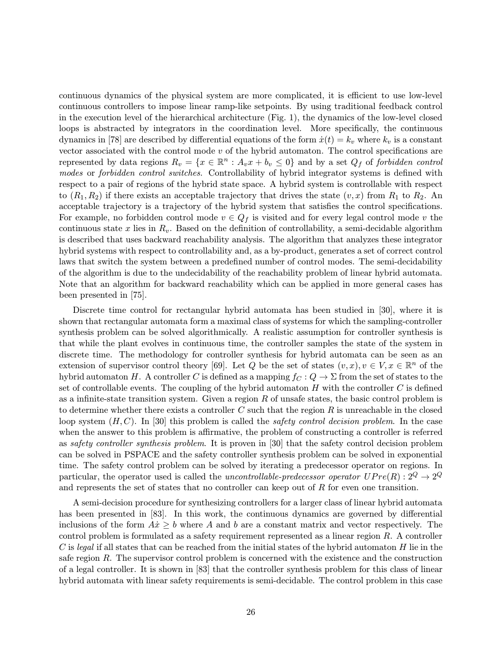continuous dynamics of the physical system are more complicated, it is efficient to use low-level continuous controllers to impose linear ramp-like setpoints. By using traditional feedback control in the execution level of the hierarchical architecture (Fig. 1), the dynamics of the low-level closed loops is abstracted by integrators in the coordination level. More specifically, the continuous dynamics in [78] are described by differential equations of the form  $\dot{x}(t) = k_v$  where  $k_v$  is a constant vector associated with the control mode  $v$  of the hybrid automaton. The control specifications are represented by data regions  $R_v = \{x \in \mathbb{R}^n : A_v x + b_v \leq 0\}$  and by a set  $Q_f$  of forbidden control modes or forbidden control switches. Controllability of hybrid integrator systems is defined with respect to a pair of regions of the hybrid state space. A hybrid system is controllable with respect to  $(R_1, R_2)$  if there exists an acceptable trajectory that drives the state  $(v, x)$  from  $R_1$  to  $R_2$ . An acceptable trajectory is a trajectory of the hybrid system that satisfies the control specifications. For example, no forbidden control mode  $v \in Q_f$  is visited and for every legal control mode v the continuous state x lies in  $R_v$ . Based on the definition of controllability, a semi-decidable algorithm is described that uses backward reachability analysis. The algorithm that analyzes these integrator hybrid systems with respect to controllability and, as a by-product, generates a set of correct control laws that switch the system between a predefined number of control modes. The semi-decidability of the algorithm is due to the undecidability of the reachability problem of linear hybrid automata. Note that an algorithm for backward reachability which can be applied in more general cases has been presented in [75].

Discrete time control for rectangular hybrid automata has been studied in [30], where it is shown that rectangular automata form a maximal class of systems for which the sampling-controller synthesis problem can be solved algorithmically. A realistic assumption for controller synthesis is that while the plant evolves in continuous time, the controller samples the state of the system in discrete time. The methodology for controller synthesis for hybrid automata can be seen as an extension of supervisor control theory [69]. Let Q be the set of states  $(v, x), v \in V, x \in \mathbb{R}^n$  of the hybrid automaton H. A controller C is defined as a mapping  $f_C : Q \to \Sigma$  from the set of states to the set of controllable events. The coupling of the hybrid automaton  $H$  with the controller  $C$  is defined as a infinite-state transition system. Given a region  $R$  of unsafe states, the basic control problem is to determine whether there exists a controller  $C$  such that the region  $R$  is unreachable in the closed loop system  $(H, C)$ . In [30] this problem is called the *safety control decision problem*. In the case when the answer to this problem is affirmative, the problem of constructing a controller is referred as safety controller synthesis problem. It is proven in [30] that the safety control decision problem can be solved in PSPACE and the safety controller synthesis problem can be solved in exponential time. The safety control problem can be solved by iterating a predecessor operator on regions. In particular, the operator used is called the uncontrollable-predecessor operator  $UPre(R):2^Q \rightarrow 2^Q$ and represents the set of states that no controller can keep out of R for even one transition.

A semi-decision procedure for synthesizing controllers for a larger class of linear hybrid automata has been presented in [83]. In this work, the continuous dynamics are governed by differential inclusions of the form  $A\dot{x} \geq b$  where A and b are a constant matrix and vector respectively. The control problem is formulated as a safety requirement represented as a linear region R. A controller C is legal if all states that can be reached from the initial states of the hybrid automaton H lie in the safe region  $R$ . The supervisor control problem is concerned with the existence and the construction of a legal controller. It is shown in [83] that the controller synthesis problem for this class of linear hybrid automata with linear safety requirements is semi-decidable. The control problem in this case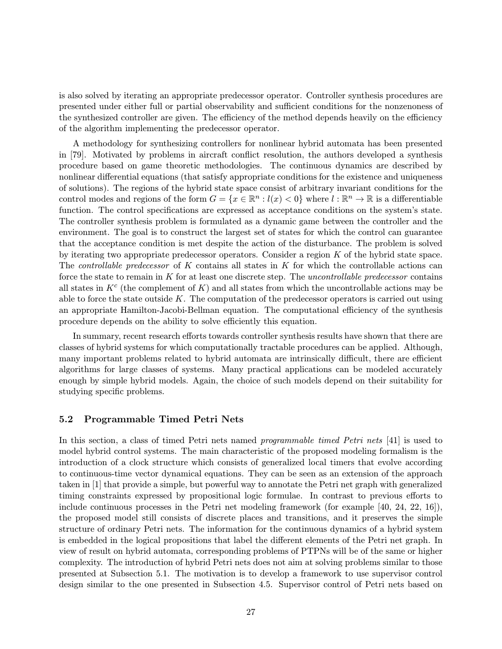is also solved by iterating an appropriate predecessor operator. Controller synthesis procedures are presented under either full or partial observability and sufficient conditions for the nonzenoness of the synthesized controller are given. The efficiency of the method depends heavily on the efficiency of the algorithm implementing the predecessor operator.

A methodology for synthesizing controllers for nonlinear hybrid automata has been presented in [79]. Motivated by problems in aircraft conflict resolution, the authors developed a synthesis procedure based on game theoretic methodologies. The continuous dynamics are described by nonlinear differential equations (that satisfy appropriate conditions for the existence and uniqueness of solutions). The regions of the hybrid state space consist of arbitrary invariant conditions for the control modes and regions of the form  $G = \{x \in \mathbb{R}^n : l(x) < 0\}$  where  $l : \mathbb{R}^n \to \mathbb{R}$  is a differentiable function. The control specifications are expressed as acceptance conditions on the system's state. The controller synthesis problem is formulated as a dynamic game between the controller and the environment. The goal is to construct the largest set of states for which the control can guarantee that the acceptance condition is met despite the action of the disturbance. The problem is solved by iterating two appropriate predecessor operators. Consider a region K of the hybrid state space. The *controllable predecessor* of K contains all states in K for which the controllable actions can force the state to remain in K for at least one discrete step. The *uncontrollable predecessor* contains all states in  $K^c$  (the complement of K) and all states from which the uncontrollable actions may be able to force the state outside  $K$ . The computation of the predecessor operators is carried out using an appropriate Hamilton-Jacobi-Bellman equation. The computational efficiency of the synthesis procedure depends on the ability to solve efficiently this equation.

In summary, recent research efforts towards controller synthesis results have shown that there are classes of hybrid systems for which computationally tractable procedures can be applied. Although, many important problems related to hybrid automata are intrinsically difficult, there are efficient algorithms for large classes of systems. Many practical applications can be modeled accurately enough by simple hybrid models. Again, the choice of such models depend on their suitability for studying specific problems.

### 5.2 Programmable Timed Petri Nets

In this section, a class of timed Petri nets named *programmable timed Petri nets* [41] is used to model hybrid control systems. The main characteristic of the proposed modeling formalism is the introduction of a clock structure which consists of generalized local timers that evolve according to continuous-time vector dynamical equations. They can be seen as an extension of the approach taken in [1] that provide a simple, but powerful way to annotate the Petri net graph with generalized timing constraints expressed by propositional logic formulae. In contrast to previous efforts to include continuous processes in the Petri net modeling framework (for example [40, 24, 22, 16]), the proposed model still consists of discrete places and transitions, and it preserves the simple structure of ordinary Petri nets. The information for the continuous dynamics of a hybrid system is embedded in the logical propositions that label the different elements of the Petri net graph. In view of result on hybrid automata, corresponding problems of PTPNs will be of the same or higher complexity. The introduction of hybrid Petri nets does not aim at solving problems similar to those presented at Subsection 5.1. The motivation is to develop a framework to use supervisor control design similar to the one presented in Subsection 4.5. Supervisor control of Petri nets based on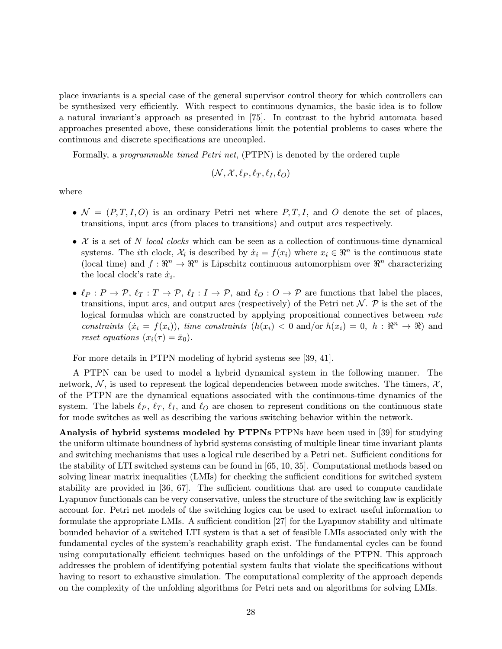place invariants is a special case of the general supervisor control theory for which controllers can be synthesized very efficiently. With respect to continuous dynamics, the basic idea is to follow a natural invariant's approach as presented in [75]. In contrast to the hybrid automata based approaches presented above, these considerations limit the potential problems to cases where the continuous and discrete specifications are uncoupled.

Formally, a programmable timed Petri net, (PTPN) is denoted by the ordered tuple

$$
(\mathcal{N}, \mathcal{X}, \ell_P, \ell_T, \ell_I, \ell_O)
$$

where

- $\mathcal{N} = (P, T, I, O)$  is an ordinary Petri net where P, T, I, and O denote the set of places, transitions, input arcs (from places to transitions) and output arcs respectively.
- $X$  is a set of N local clocks which can be seen as a collection of continuous-time dynamical systems. The *i*th clock,  $\mathcal{X}_i$  is described by  $\dot{x}_i = f(x_i)$  where  $x_i \in \mathbb{R}^n$  is the continuous state (local time) and  $f: \mathbb{R}^n \to \mathbb{R}^n$  is Lipschitz continuous automorphism over  $\mathbb{R}^n$  characterizing the local clock's rate  $\dot{x}_i$ .
- $\ell_P : P \to \mathcal{P}, \ell_T : T \to \mathcal{P}, \ell_I : I \to \mathcal{P}, \text{ and } \ell_O : O \to \mathcal{P}$  are functions that label the places, transitions, input arcs, and output arcs (respectively) of the Petri net  $N$ .  $P$  is the set of the logical formulas which are constructed by applying propositional connectives between rate constraints  $(\dot{x}_i = f(x_i))$ , time constraints  $(h(x_i) < 0 \text{ and/or } h(x_i) = 0, h : \mathbb{R}^n \to \mathbb{R})$  and reset equations  $(x_i(\tau) = \bar{x}_0)$ .

For more details in PTPN modeling of hybrid systems see [39, 41].

A PTPN can be used to model a hybrid dynamical system in the following manner. The network,  $\mathcal{N}$ , is used to represent the logical dependencies between mode switches. The timers,  $\mathcal{X}$ , of the PTPN are the dynamical equations associated with the continuous-time dynamics of the system. The labels  $\ell_P$ ,  $\ell_T$ ,  $\ell_I$ , and  $\ell_Q$  are chosen to represent conditions on the continuous state for mode switches as well as describing the various switching behavior within the network.

Analysis of hybrid systems modeled by PTPNs PTPNs have been used in [39] for studying the uniform ultimate boundness of hybrid systems consisting of multiple linear time invariant plants and switching mechanisms that uses a logical rule described by a Petri net. Sufficient conditions for the stability of LTI switched systems can be found in [65, 10, 35]. Computational methods based on solving linear matrix inequalities (LMIs) for checking the sufficient conditions for switched system stability are provided in [36, 67]. The sufficient conditions that are used to compute candidate Lyapunov functionals can be very conservative, unless the structure of the switching law is explicitly account for. Petri net models of the switching logics can be used to extract useful information to formulate the appropriate LMIs. A sufficient condition [27] for the Lyapunov stability and ultimate bounded behavior of a switched LTI system is that a set of feasible LMIs associated only with the fundamental cycles of the system's reachability graph exist. The fundamental cycles can be found using computationally efficient techniques based on the unfoldings of the PTPN. This approach addresses the problem of identifying potential system faults that violate the specifications without having to resort to exhaustive simulation. The computational complexity of the approach depends on the complexity of the unfolding algorithms for Petri nets and on algorithms for solving LMIs.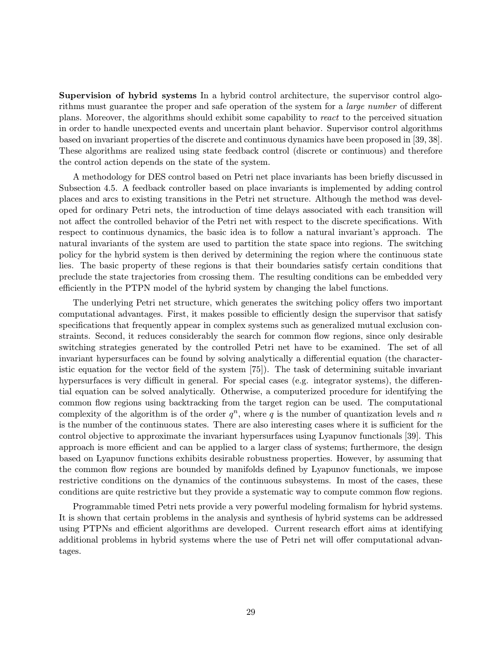Supervision of hybrid systems In a hybrid control architecture, the supervisor control algorithms must guarantee the proper and safe operation of the system for a large number of different plans. Moreover, the algorithms should exhibit some capability to react to the perceived situation in order to handle unexpected events and uncertain plant behavior. Supervisor control algorithms based on invariant properties of the discrete and continuous dynamics have been proposed in [39, 38]. These algorithms are realized using state feedback control (discrete or continuous) and therefore the control action depends on the state of the system.

A methodology for DES control based on Petri net place invariants has been briefly discussed in Subsection 4.5. A feedback controller based on place invariants is implemented by adding control places and arcs to existing transitions in the Petri net structure. Although the method was developed for ordinary Petri nets, the introduction of time delays associated with each transition will not affect the controlled behavior of the Petri net with respect to the discrete specifications. With respect to continuous dynamics, the basic idea is to follow a natural invariant's approach. The natural invariants of the system are used to partition the state space into regions. The switching policy for the hybrid system is then derived by determining the region where the continuous state lies. The basic property of these regions is that their boundaries satisfy certain conditions that preclude the state trajectories from crossing them. The resulting conditions can be embedded very efficiently in the PTPN model of the hybrid system by changing the label functions.

The underlying Petri net structure, which generates the switching policy offers two important computational advantages. First, it makes possible to efficiently design the supervisor that satisfy specifications that frequently appear in complex systems such as generalized mutual exclusion constraints. Second, it reduces considerably the search for common flow regions, since only desirable switching strategies generated by the controlled Petri net have to be examined. The set of all invariant hypersurfaces can be found by solving analytically a differential equation (the characteristic equation for the vector field of the system [75]). The task of determining suitable invariant hypersurfaces is very difficult in general. For special cases (e.g. integrator systems), the differential equation can be solved analytically. Otherwise, a computerized procedure for identifying the common flow regions using backtracking from the target region can be used. The computational complexity of the algorithm is of the order  $q^n$ , where q is the number of quantization levels and n is the number of the continuous states. There are also interesting cases where it is sufficient for the control objective to approximate the invariant hypersurfaces using Lyapunov functionals [39]. This approach is more efficient and can be applied to a larger class of systems; furthermore, the design based on Lyapunov functions exhibits desirable robustness properties. However, by assuming that the common flow regions are bounded by manifolds defined by Lyapunov functionals, we impose restrictive conditions on the dynamics of the continuous subsystems. In most of the cases, these conditions are quite restrictive but they provide a systematic way to compute common flow regions.

Programmable timed Petri nets provide a very powerful modeling formalism for hybrid systems. It is shown that certain problems in the analysis and synthesis of hybrid systems can be addressed using PTPNs and efficient algorithms are developed. Current research effort aims at identifying additional problems in hybrid systems where the use of Petri net will offer computational advantages.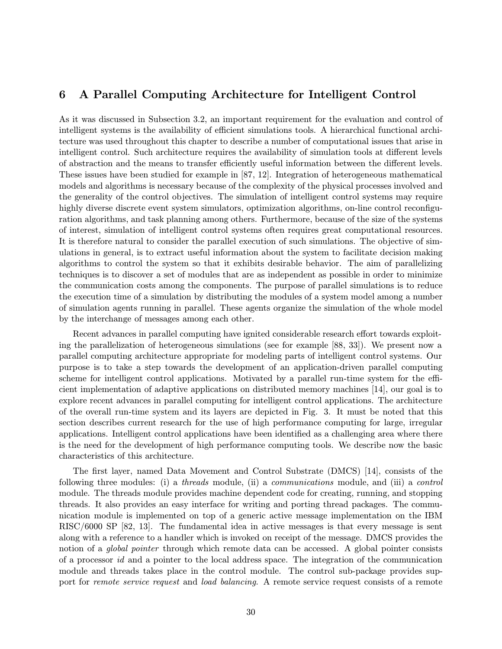## 6 A Parallel Computing Architecture for Intelligent Control

As it was discussed in Subsection 3.2, an important requirement for the evaluation and control of intelligent systems is the availability of efficient simulations tools. A hierarchical functional architecture was used throughout this chapter to describe a number of computational issues that arise in intelligent control. Such architecture requires the availability of simulation tools at different levels of abstraction and the means to transfer efficiently useful information between the different levels. These issues have been studied for example in [87, 12]. Integration of heterogeneous mathematical models and algorithms is necessary because of the complexity of the physical processes involved and the generality of the control objectives. The simulation of intelligent control systems may require highly diverse discrete event system simulators, optimization algorithms, on-line control reconfiguration algorithms, and task planning among others. Furthermore, because of the size of the systems of interest, simulation of intelligent control systems often requires great computational resources. It is therefore natural to consider the parallel execution of such simulations. The objective of simulations in general, is to extract useful information about the system to facilitate decision making algorithms to control the system so that it exhibits desirable behavior. The aim of parallelizing techniques is to discover a set of modules that are as independent as possible in order to minimize the communication costs among the components. The purpose of parallel simulations is to reduce the execution time of a simulation by distributing the modules of a system model among a number of simulation agents running in parallel. These agents organize the simulation of the whole model by the interchange of messages among each other.

Recent advances in parallel computing have ignited considerable research effort towards exploiting the parallelization of heterogeneous simulations (see for example [88, 33]). We present now a parallel computing architecture appropriate for modeling parts of intelligent control systems. Our purpose is to take a step towards the development of an application-driven parallel computing scheme for intelligent control applications. Motivated by a parallel run-time system for the efficient implementation of adaptive applications on distributed memory machines [14], our goal is to explore recent advances in parallel computing for intelligent control applications. The architecture of the overall run-time system and its layers are depicted in Fig. 3. It must be noted that this section describes current research for the use of high performance computing for large, irregular applications. Intelligent control applications have been identified as a challenging area where there is the need for the development of high performance computing tools. We describe now the basic characteristics of this architecture.

The first layer, named Data Movement and Control Substrate (DMCS) [14], consists of the following three modules: (i) a threads module, (ii) a communications module, and (iii) a control module. The threads module provides machine dependent code for creating, running, and stopping threads. It also provides an easy interface for writing and porting thread packages. The communication module is implemented on top of a generic active message implementation on the IBM RISC/6000 SP [82, 13]. The fundamental idea in active messages is that every message is sent along with a reference to a handler which is invoked on receipt of the message. DMCS provides the notion of a *global pointer* through which remote data can be accessed. A global pointer consists of a processor id and a pointer to the local address space. The integration of the communication module and threads takes place in the control module. The control sub-package provides support for *remote service request* and *load balancing*. A remote service request consists of a remote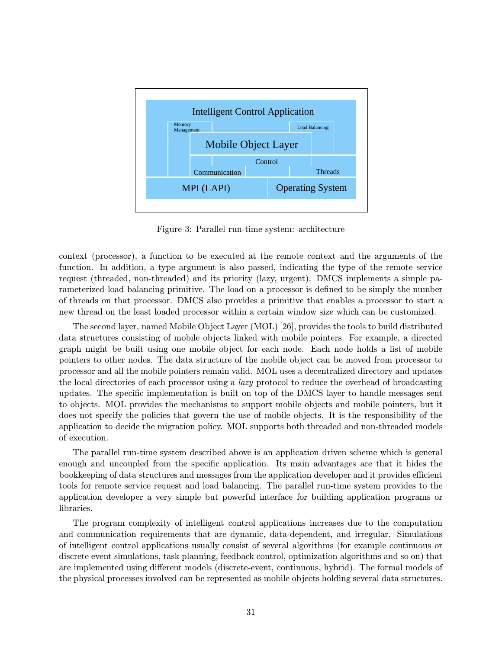

Figure 3: Parallel run-time system: architecture

context (processor), a function to be executed at the remote context and the arguments of the function. In addition, a type argument is also passed, indicating the type of the remote service request (threaded, non-threaded) and its priority (lazy, urgent). DMCS implements a simple parameterized load balancing primitive. The load on a processor is defined to be simply the number of threads on that processor. DMCS also provides a primitive that enables a processor to start a new thread on the least loaded processor within a certain window size which can be customized.

The second layer, named Mobile Object Layer (MOL) [26], provides the tools to build distributed data structures consisting of mobile objects linked with mobile pointers. For example, a directed graph might be built using one mobile object for each node. Each node holds a list of mobile pointers to other nodes. The data structure of the mobile object can be moved from processor to processor and all the mobile pointers remain valid. MOL uses a decentralized directory and updates the local directories of each processor using a *lazy* protocol to reduce the overhead of broadcasting updates. The specific implementation is built on top of the DMCS layer to handle messages sent to objects. MOL provides the mechanisms to support mobile objects and mobile pointers, but it does not specify the policies that govern the use of mobile objects. It is the responsibility of the application to decide the migration policy. MOL supports both threaded and non-threaded models of execution.

The parallel run-time system described above is an application driven scheme which is general enough and uncoupled from the specific application. Its main advantages are that it hides the bookkeeping of data structures and messages from the application developer and it provides efficient tools for remote service request and load balancing. The parallel run-time system provides to the application developer a very simple but powerful interface for building application programs or libraries.

The program complexity of intelligent control applications increases due to the computation and communication requirements that are dynamic, data-dependent, and irregular. Simulations of intelligent control applications usually consist of several algorithms (for example continuous or discrete event simulations, task planning, feedback control, optimization algorithms and so on) that are implemented using different models (discrete-event, continuous, hybrid). The formal models of the physical processes involved can be represented as mobile objects holding several data structures.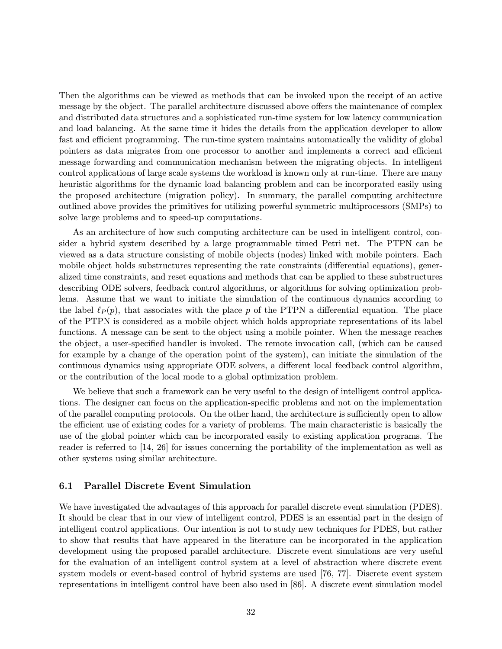Then the algorithms can be viewed as methods that can be invoked upon the receipt of an active message by the object. The parallel architecture discussed above offers the maintenance of complex and distributed data structures and a sophisticated run-time system for low latency communication and load balancing. At the same time it hides the details from the application developer to allow fast and efficient programming. The run-time system maintains automatically the validity of global pointers as data migrates from one processor to another and implements a correct and efficient message forwarding and communication mechanism between the migrating objects. In intelligent control applications of large scale systems the workload is known only at run-time. There are many heuristic algorithms for the dynamic load balancing problem and can be incorporated easily using the proposed architecture (migration policy). In summary, the parallel computing architecture outlined above provides the primitives for utilizing powerful symmetric multiprocessors (SMPs) to solve large problems and to speed-up computations.

As an architecture of how such computing architecture can be used in intelligent control, consider a hybrid system described by a large programmable timed Petri net. The PTPN can be viewed as a data structure consisting of mobile objects (nodes) linked with mobile pointers. Each mobile object holds substructures representing the rate constraints (differential equations), generalized time constraints, and reset equations and methods that can be applied to these substructures describing ODE solvers, feedback control algorithms, or algorithms for solving optimization problems. Assume that we want to initiate the simulation of the continuous dynamics according to the label  $\ell_P (p)$ , that associates with the place p of the PTPN a differential equation. The place of the PTPN is considered as a mobile object which holds appropriate representations of its label functions. A message can be sent to the object using a mobile pointer. When the message reaches the object, a user-specified handler is invoked. The remote invocation call, (which can be caused for example by a change of the operation point of the system), can initiate the simulation of the continuous dynamics using appropriate ODE solvers, a different local feedback control algorithm, or the contribution of the local mode to a global optimization problem.

We believe that such a framework can be very useful to the design of intelligent control applications. The designer can focus on the application-specific problems and not on the implementation of the parallel computing protocols. On the other hand, the architecture is sufficiently open to allow the efficient use of existing codes for a variety of problems. The main characteristic is basically the use of the global pointer which can be incorporated easily to existing application programs. The reader is referred to [14, 26] for issues concerning the portability of the implementation as well as other systems using similar architecture.

### 6.1 Parallel Discrete Event Simulation

We have investigated the advantages of this approach for parallel discrete event simulation (PDES). It should be clear that in our view of intelligent control, PDES is an essential part in the design of intelligent control applications. Our intention is not to study new techniques for PDES, but rather to show that results that have appeared in the literature can be incorporated in the application development using the proposed parallel architecture. Discrete event simulations are very useful for the evaluation of an intelligent control system at a level of abstraction where discrete event system models or event-based control of hybrid systems are used [76, 77]. Discrete event system representations in intelligent control have been also used in [86]. A discrete event simulation model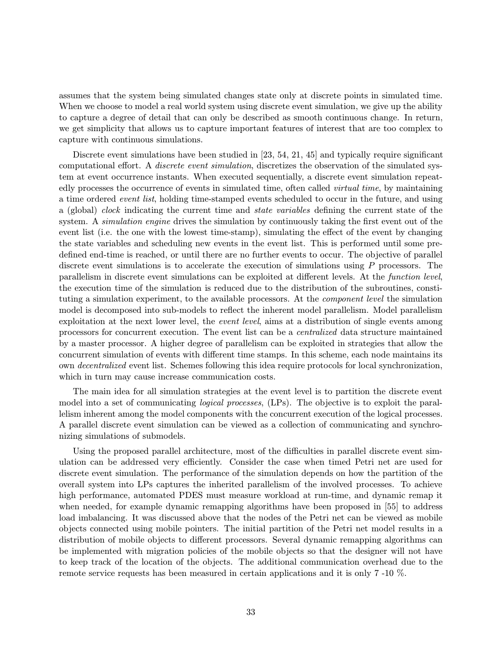assumes that the system being simulated changes state only at discrete points in simulated time. When we choose to model a real world system using discrete event simulation, we give up the ability to capture a degree of detail that can only be described as smooth continuous change. In return, we get simplicity that allows us to capture important features of interest that are too complex to capture with continuous simulations.

Discrete event simulations have been studied in [23, 54, 21, 45] and typically require significant computational effort. A *discrete event simulation*, discretizes the observation of the simulated system at event occurrence instants. When executed sequentially, a discrete event simulation repeatedly processes the occurrence of events in simulated time, often called *virtual time*, by maintaining a time ordered event list, holding time-stamped events scheduled to occur in the future, and using a (global) clock indicating the current time and state variables defining the current state of the system. A *simulation engine* drives the simulation by continuously taking the first event out of the event list (i.e. the one with the lowest time-stamp), simulating the effect of the event by changing the state variables and scheduling new events in the event list. This is performed until some predefined end-time is reached, or until there are no further events to occur. The objective of parallel discrete event simulations is to accelerate the execution of simulations using P processors. The parallelism in discrete event simulations can be exploited at different levels. At the function level, the execution time of the simulation is reduced due to the distribution of the subroutines, constituting a simulation experiment, to the available processors. At the component level the simulation model is decomposed into sub-models to reflect the inherent model parallelism. Model parallelism exploitation at the next lower level, the event level, aims at a distribution of single events among processors for concurrent execution. The event list can be a centralized data structure maintained by a master processor. A higher degree of parallelism can be exploited in strategies that allow the concurrent simulation of events with different time stamps. In this scheme, each node maintains its own decentralized event list. Schemes following this idea require protocols for local synchronization, which in turn may cause increase communication costs.

The main idea for all simulation strategies at the event level is to partition the discrete event model into a set of communicating logical processes, (LPs). The objective is to exploit the parallelism inherent among the model components with the concurrent execution of the logical processes. A parallel discrete event simulation can be viewed as a collection of communicating and synchronizing simulations of submodels.

Using the proposed parallel architecture, most of the difficulties in parallel discrete event simulation can be addressed very efficiently. Consider the case when timed Petri net are used for discrete event simulation. The performance of the simulation depends on how the partition of the overall system into LPs captures the inherited parallelism of the involved processes. To achieve high performance, automated PDES must measure workload at run-time, and dynamic remap it when needed, for example dynamic remapping algorithms have been proposed in [55] to address load imbalancing. It was discussed above that the nodes of the Petri net can be viewed as mobile objects connected using mobile pointers. The initial partition of the Petri net model results in a distribution of mobile objects to different processors. Several dynamic remapping algorithms can be implemented with migration policies of the mobile objects so that the designer will not have to keep track of the location of the objects. The additional communication overhead due to the remote service requests has been measured in certain applications and it is only 7 -10 %.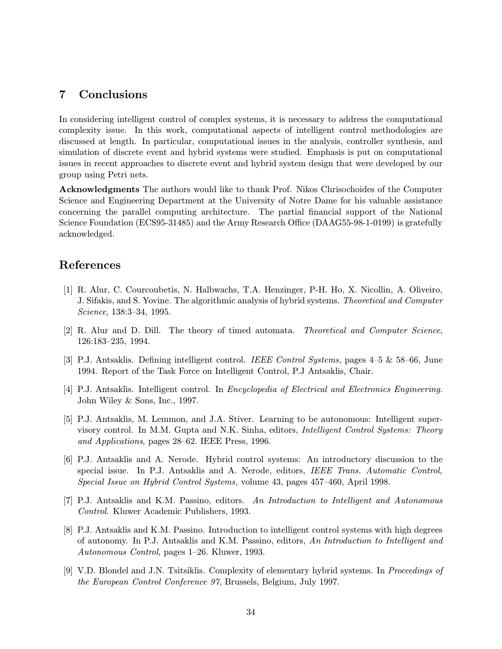# 7 Conclusions

In considering intelligent control of complex systems, it is necessary to address the computational complexity issue. In this work, computational aspects of intelligent control methodologies are discussed at length. In particular, computational issues in the analysis, controller synthesis, and simulation of discrete event and hybrid systems were studied. Emphasis is put on computational issues in recent approaches to discrete event and hybrid system design that were developed by our group using Petri nets.

Acknowledgments The authors would like to thank Prof. Nikos Chrisochoides of the Computer Science and Engineering Department at the University of Notre Dame for his valuable assistance concerning the parallel computing architecture. The partial financial support of the National Science Foundation (ECS95-31485) and the Army Research Office (DAAG55-98-1-0199) is gratefully acknowledged.

# References

- [1] R. Alur, C. Courcoubetis, N. Halbwachs, T.A. Henzinger, P-H. Ho, X. Nicollin, A. Oliveiro, J. Sifakis, and S. Yovine. The algorithmic analysis of hybrid systems. Theoretical and Computer Science, 138:3–34, 1995.
- [2] R. Alur and D. Dill. The theory of timed automata. Theoretical and Computer Science, 126:183–235, 1994.
- [3] P.J. Antsaklis. Defining intelligent control. IEEE Control Systems, pages 4–5 & 58–66, June 1994. Report of the Task Force on Intelligent Control, P.J Antsaklis, Chair.
- [4] P.J. Antsaklis. Intelligent control. In Encyclopedia of Electrical and Electronics Engineering. John Wiley & Sons, Inc., 1997.
- [5] P.J. Antsaklis, M. Lemmon, and J.A. Stiver. Learning to be autonomous: Intelligent supervisory control. In M.M. Gupta and N.K. Sinha, editors, Intelligent Control Systems: Theory and Applications, pages 28–62. IEEE Press, 1996.
- [6] P.J. Antsaklis and A. Nerode. Hybrid control systems: An introductory discussion to the special issue. In P.J. Antsaklis and A. Nerode, editors, IEEE Trans. Automatic Control, Special Issue on Hybrid Control Systems, volume 43, pages 457–460, April 1998.
- [7] P.J. Antsaklis and K.M. Passino, editors. An Introduction to Intelligent and Autonomous Control. Kluwer Academic Publishers, 1993.
- [8] P.J. Antsaklis and K.M. Passino. Introduction to intelligent control systems with high degrees of autonomy. In P.J. Antsaklis and K.M. Passino, editors, An Introduction to Intelligent and Autonomous Control, pages 1–26. Kluwer, 1993.
- [9] V.D. Blondel and J.N. Tsitsiklis. Complexity of elementary hybrid systems. In Proceedings of the European Control Conference 97, Brussels, Belgium, July 1997.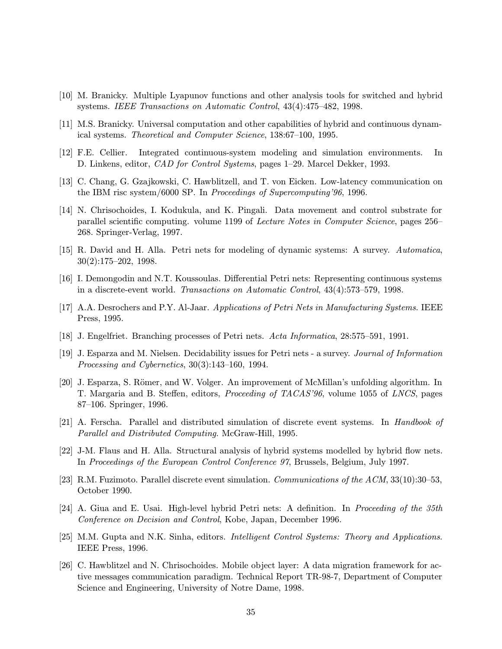- [10] M. Branicky. Multiple Lyapunov functions and other analysis tools for switched and hybrid systems. IEEE Transactions on Automatic Control, 43(4):475–482, 1998.
- [11] M.S. Branicky. Universal computation and other capabilities of hybrid and continuous dynamical systems. Theoretical and Computer Science, 138:67–100, 1995.
- [12] F.E. Cellier. Integrated continuous-system modeling and simulation environments. In D. Linkens, editor, CAD for Control Systems, pages 1–29. Marcel Dekker, 1993.
- [13] C. Chang, G. Gzajkowski, C. Hawblitzell, and T. von Eicken. Low-latency communication on the IBM risc system/6000 SP. In Proceedings of Supercomputing'96, 1996.
- [14] N. Chrisochoides, I. Kodukula, and K. Pingali. Data movement and control substrate for parallel scientific computing. volume 1199 of Lecture Notes in Computer Science, pages 256– 268. Springer-Verlag, 1997.
- [15] R. David and H. Alla. Petri nets for modeling of dynamic systems: A survey. Automatica, 30(2):175–202, 1998.
- [16] I. Demongodin and N.T. Koussoulas. Differential Petri nets: Representing continuous systems in a discrete-event world. Transactions on Automatic Control, 43(4):573–579, 1998.
- [17] A.A. Desrochers and P.Y. Al-Jaar. Applications of Petri Nets in Manufacturing Systems. IEEE Press, 1995.
- [18] J. Engelfriet. Branching processes of Petri nets. Acta Informatica, 28:575–591, 1991.
- [19] J. Esparza and M. Nielsen. Decidability issues for Petri nets a survey. Journal of Information Processing and Cybernetics, 30(3):143–160, 1994.
- [20] J. Esparza, S. Römer, and W. Volger. An improvement of McMillan's unfolding algorithm. In T. Margaria and B. Steffen, editors, Proceeding of TACAS'96, volume 1055 of LNCS, pages 87–106. Springer, 1996.
- [21] A. Ferscha. Parallel and distributed simulation of discrete event systems. In Handbook of Parallel and Distributed Computing. McGraw-Hill, 1995.
- [22] J-M. Flaus and H. Alla. Structural analysis of hybrid systems modelled by hybrid flow nets. In Proceedings of the European Control Conference 97, Brussels, Belgium, July 1997.
- [23] R.M. Fuzimoto. Parallel discrete event simulation. Communications of the ACM, 33(10):30–53, October 1990.
- [24] A. Giua and E. Usai. High-level hybrid Petri nets: A definition. In Proceeding of the 35th Conference on Decision and Control, Kobe, Japan, December 1996.
- [25] M.M. Gupta and N.K. Sinha, editors. Intelligent Control Systems: Theory and Applications. IEEE Press, 1996.
- [26] C. Hawblitzel and N. Chrisochoides. Mobile object layer: A data migration framework for active messages communication paradigm. Technical Report TR-98-7, Department of Computer Science and Engineering, University of Notre Dame, 1998.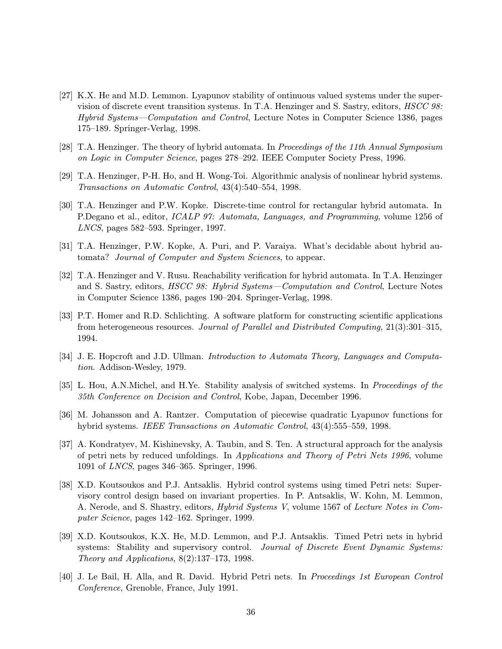- [27] K.X. He and M.D. Lemmon. Lyapunov stability of ontinuous valued systems under the supervision of discrete event transition systems. In T.A. Henzinger and S. Sastry, editors, HSCC 98: Hybrid Systems—Computation and Control, Lecture Notes in Computer Science 1386, pages 175–189. Springer-Verlag, 1998.
- [28] T.A. Henzinger. The theory of hybrid automata. In Proceedings of the 11th Annual Symposium on Logic in Computer Science, pages 278–292. IEEE Computer Society Press, 1996.
- [29] T.A. Henzinger, P-H. Ho, and H. Wong-Toi. Algorithmic analysis of nonlinear hybrid systems. Transactions on Automatic Control, 43(4):540–554, 1998.
- [30] T.A. Henzinger and P.W. Kopke. Discrete-time control for rectangular hybrid automata. In P.Degano et al., editor, ICALP 97: Automata, Languages, and Programming, volume 1256 of LNCS, pages 582–593. Springer, 1997.
- [31] T.A. Henzinger, P.W. Kopke, A. Puri, and P. Varaiya. What's decidable about hybrid automata? Journal of Computer and System Sciences, to appear.
- [32] T.A. Henzinger and V. Rusu. Reachability verification for hybrid automata. In T.A. Henzinger and S. Sastry, editors, HSCC 98: Hybrid Systems—Computation and Control, Lecture Notes in Computer Science 1386, pages 190–204. Springer-Verlag, 1998.
- [33] P.T. Homer and R.D. Schlichting. A software platform for constructing scientific applications from heterogeneous resources. Journal of Parallel and Distributed Computing, 21(3):301–315, 1994.
- [34] J. E. Hopcroft and J.D. Ullman. Introduction to Automata Theory, Languages and Computation. Addison-Wesley, 1979.
- [35] L. Hou, A.N.Michel, and H.Ye. Stability analysis of switched systems. In Proceedings of the 35th Conference on Decision and Control, Kobe, Japan, December 1996.
- [36] M. Johansson and A. Rantzer. Computation of piecewise quadratic Lyapunov functions for hybrid systems. *IEEE Transactions on Automatic Control*, 43(4):555–559, 1998.
- [37] A. Kondratyev, M. Kishinevsky, A. Taubin, and S. Ten. A structural approach for the analysis of petri nets by reduced unfoldings. In Applications and Theory of Petri Nets 1996, volume 1091 of LNCS, pages 346–365. Springer, 1996.
- [38] X.D. Koutsoukos and P.J. Antsaklis. Hybrid control systems using timed Petri nets: Supervisory control design based on invariant properties. In P. Antsaklis, W. Kohn, M. Lemmon, A. Nerode, and S. Shastry, editors, Hybrid Systems V, volume 1567 of Lecture Notes in Computer Science, pages 142–162. Springer, 1999.
- [39] X.D. Koutsoukos, K.X. He, M.D. Lemmon, and P.J. Antsaklis. Timed Petri nets in hybrid systems: Stability and supervisory control. Journal of Discrete Event Dynamic Systems: Theory and Applications, 8(2):137–173, 1998.
- [40] J. Le Bail, H. Alla, and R. David. Hybrid Petri nets. In Proceedings 1st European Control Conference, Grenoble, France, July 1991.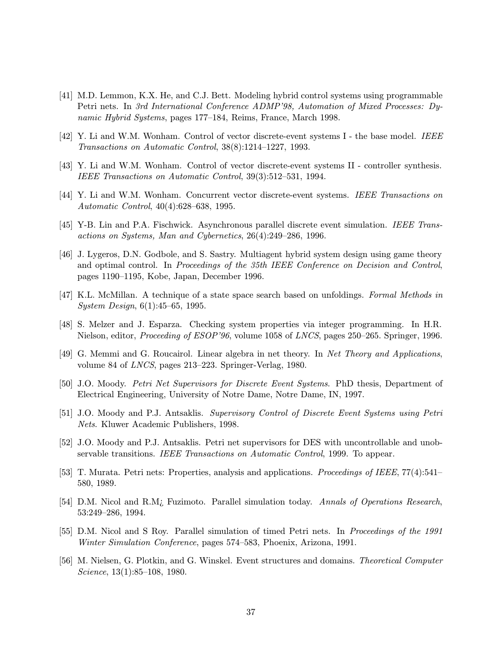- [41] M.D. Lemmon, K.X. He, and C.J. Bett. Modeling hybrid control systems using programmable Petri nets. In 3rd International Conference ADMP'98, Automation of Mixed Processes: Dynamic Hybrid Systems, pages 177–184, Reims, France, March 1998.
- [42] Y. Li and W.M. Wonham. Control of vector discrete-event systems I the base model. IEEE Transactions on Automatic Control, 38(8):1214–1227, 1993.
- [43] Y. Li and W.M. Wonham. Control of vector discrete-event systems II controller synthesis. IEEE Transactions on Automatic Control, 39(3):512–531, 1994.
- [44] Y. Li and W.M. Wonham. Concurrent vector discrete-event systems. IEEE Transactions on Automatic Control, 40(4):628–638, 1995.
- [45] Y-B. Lin and P.A. Fischwick. Asynchronous parallel discrete event simulation. IEEE Transactions on Systems, Man and Cybernetics, 26(4):249–286, 1996.
- [46] J. Lygeros, D.N. Godbole, and S. Sastry. Multiagent hybrid system design using game theory and optimal control. In Proceedings of the 35th IEEE Conference on Decision and Control, pages 1190–1195, Kobe, Japan, December 1996.
- [47] K.L. McMillan. A technique of a state space search based on unfoldings. Formal Methods in System Design, 6(1):45–65, 1995.
- [48] S. Melzer and J. Esparza. Checking system properties via integer programming. In H.R. Nielson, editor, *Proceeding of ESOP*'96, volume 1058 of *LNCS*, pages 250–265. Springer, 1996.
- [49] G. Memmi and G. Roucairol. Linear algebra in net theory. In Net Theory and Applications, volume 84 of LNCS, pages 213–223. Springer-Verlag, 1980.
- [50] J.O. Moody. Petri Net Supervisors for Discrete Event Systems. PhD thesis, Department of Electrical Engineering, University of Notre Dame, Notre Dame, IN, 1997.
- [51] J.O. Moody and P.J. Antsaklis. Supervisory Control of Discrete Event Systems using Petri Nets. Kluwer Academic Publishers, 1998.
- [52] J.O. Moody and P.J. Antsaklis. Petri net supervisors for DES with uncontrollable and unobservable transitions. IEEE Transactions on Automatic Control, 1999. To appear.
- [53] T. Murata. Petri nets: Properties, analysis and applications. Proceedings of IEEE, 77(4):541– 580, 1989.
- [54] D.M. Nicol and R.M¿ Fuzimoto. Parallel simulation today. Annals of Operations Research, 53:249–286, 1994.
- [55] D.M. Nicol and S Roy. Parallel simulation of timed Petri nets. In Proceedings of the 1991 Winter Simulation Conference, pages 574–583, Phoenix, Arizona, 1991.
- [56] M. Nielsen, G. Plotkin, and G. Winskel. Event structures and domains. Theoretical Computer Science, 13(1):85–108, 1980.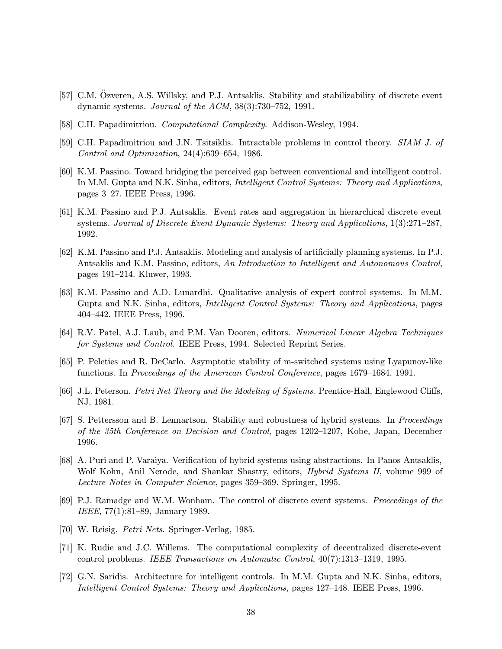- [57] C.M. Özveren, A.S. Willsky, and P.J. Antsaklis. Stability and stabilizability of discrete event dynamic systems. Journal of the ACM, 38(3):730–752, 1991.
- [58] C.H. Papadimitriou. Computational Complexity. Addison-Wesley, 1994.
- [59] C.H. Papadimitriou and J.N. Tsitsiklis. Intractable problems in control theory. SIAM J. of Control and Optimization, 24(4):639–654, 1986.
- [60] K.M. Passino. Toward bridging the perceived gap between conventional and intelligent control. In M.M. Gupta and N.K. Sinha, editors, *Intelligent Control Systems: Theory and Applications*, pages 3–27. IEEE Press, 1996.
- [61] K.M. Passino and P.J. Antsaklis. Event rates and aggregation in hierarchical discrete event systems. Journal of Discrete Event Dynamic Systems: Theory and Applications, 1(3):271–287, 1992.
- [62] K.M. Passino and P.J. Antsaklis. Modeling and analysis of artificially planning systems. In P.J. Antsaklis and K.M. Passino, editors, An Introduction to Intelligent and Autonomous Control, pages 191–214. Kluwer, 1993.
- [63] K.M. Passino and A.D. Lunardhi. Qualitative analysis of expert control systems. In M.M. Gupta and N.K. Sinha, editors, Intelligent Control Systems: Theory and Applications, pages 404–442. IEEE Press, 1996.
- [64] R.V. Patel, A.J. Laub, and P.M. Van Dooren, editors. Numerical Linear Algebra Techniques for Systems and Control. IEEE Press, 1994. Selected Reprint Series.
- [65] P. Peleties and R. DeCarlo. Asymptotic stability of m-switched systems using Lyapunov-like functions. In Proceedings of the American Control Conference, pages 1679–1684, 1991.
- [66] J.L. Peterson. Petri Net Theory and the Modeling of Systems. Prentice-Hall, Englewood Cliffs, NJ, 1981.
- [67] S. Pettersson and B. Lennartson. Stability and robustness of hybrid systems. In Proceedings of the 35th Conference on Decision and Control, pages 1202–1207, Kobe, Japan, December 1996.
- [68] A. Puri and P. Varaiya. Verification of hybrid systems using abstractions. In Panos Antsaklis, Wolf Kohn, Anil Nerode, and Shankar Shastry, editors, *Hybrid Systems II*, volume 999 of Lecture Notes in Computer Science, pages 359–369. Springer, 1995.
- [69] P.J. Ramadge and W.M. Wonham. The control of discrete event systems. Proceedings of the IEEE, 77(1):81–89, January 1989.
- [70] W. Reisig. Petri Nets. Springer-Verlag, 1985.
- [71] K. Rudie and J.C. Willems. The computational complexity of decentralized discrete-event control problems. IEEE Transactions on Automatic Control, 40(7):1313–1319, 1995.
- [72] G.N. Saridis. Architecture for intelligent controls. In M.M. Gupta and N.K. Sinha, editors, Intelligent Control Systems: Theory and Applications, pages 127–148. IEEE Press, 1996.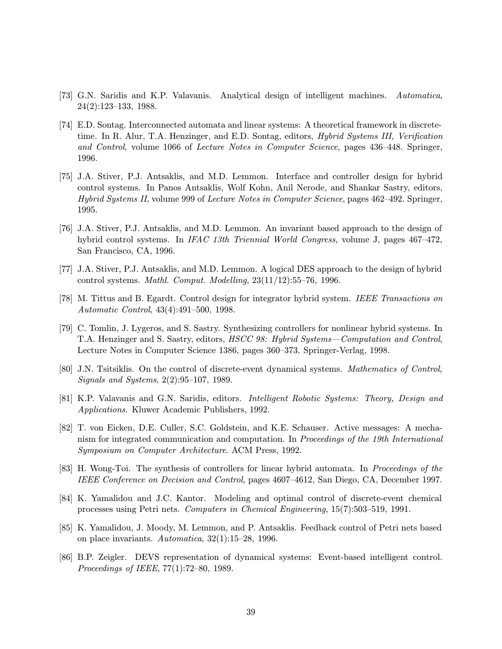- [73] G.N. Saridis and K.P. Valavanis. Analytical design of intelligent machines. Automatica, 24(2):123–133, 1988.
- [74] E.D. Sontag. Interconnected automata and linear systems: A theoretical framework in discretetime. In R. Alur, T.A. Henzinger, and E.D. Sontag, editors, Hybrid Systems III, Verification and Control, volume 1066 of Lecture Notes in Computer Science, pages 436–448. Springer, 1996.
- [75] J.A. Stiver, P.J. Antsaklis, and M.D. Lemmon. Interface and controller design for hybrid control systems. In Panos Antsaklis, Wolf Kohn, Anil Nerode, and Shankar Sastry, editors, Hybrid Systems II, volume 999 of Lecture Notes in Computer Science, pages 462–492. Springer, 1995.
- [76] J.A. Stiver, P.J. Antsaklis, and M.D. Lemmon. An invariant based approach to the design of hybrid control systems. In *IFAC 13th Triennial World Congress*, volume J, pages 467–472, San Francisco, CA, 1996.
- [77] J.A. Stiver, P.J. Antsaklis, and M.D. Lemmon. A logical DES approach to the design of hybrid control systems. Mathl. Comput. Modelling, 23(11/12):55–76, 1996.
- [78] M. Tittus and B. Egardt. Control design for integrator hybrid system. IEEE Transactions on Automatic Control, 43(4):491–500, 1998.
- [79] C. Tomlin, J. Lygeros, and S. Sastry. Synthesizing controllers for nonlinear hybrid systems. In T.A. Henzinger and S. Sastry, editors, HSCC 98: Hybrid Systems—Computation and Control, Lecture Notes in Computer Science 1386, pages 360–373. Springer-Verlag, 1998.
- [80] J.N. Tsitsiklis. On the control of discrete-event dynamical systems. Mathematics of Control, Signals and Systems, 2(2):95–107, 1989.
- [81] K.P. Valavanis and G.N. Saridis, editors. Intelligent Robotic Systems: Theory, Design and Applications. Kluwer Academic Publishers, 1992.
- [82] T. von Eicken, D.E. Culler, S.C. Goldstein, and K.E. Schauser. Active messages: A mechanism for integrated communication and computation. In Proceedings of the 19th International Symposium on Computer Architecture. ACM Press, 1992.
- [83] H. Wong-Toi. The synthesis of controllers for linear hybrid automata. In Proceedings of the IEEE Conference on Decision and Control, pages 4607–4612, San Diego, CA, December 1997.
- [84] K. Yamalidou and J.C. Kantor. Modeling and optimal control of discrete-event chemical processes using Petri nets. Computers in Chemical Engineering, 15(7):503–519, 1991.
- [85] K. Yamalidou, J. Moody, M. Lemmon, and P. Antsaklis. Feedback control of Petri nets based on place invariants. Automatica, 32(1):15–28, 1996.
- [86] B.P. Zeigler. DEVS representation of dynamical systems: Event-based intelligent control. Proceedings of IEEE, 77(1):72–80, 1989.